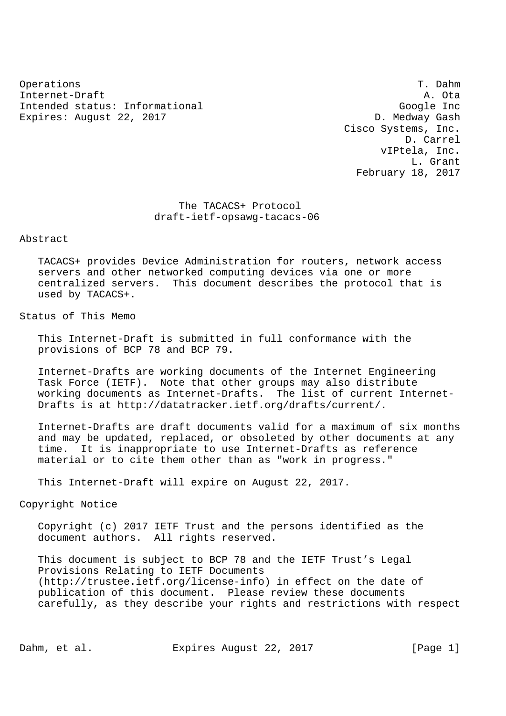Operations T. Dahm Internet-Draft A. Ota Intended status: Informational Google Inc Expires: August 22, 2017 Channel Communication Communication D. Medway Gash

 Cisco Systems, Inc. D. Carrel vIPtela, Inc. L. Grant February 18, 2017

 The TACACS+ Protocol draft-ietf-opsawg-tacacs-06

## Abstract

 TACACS+ provides Device Administration for routers, network access servers and other networked computing devices via one or more centralized servers. This document describes the protocol that is used by TACACS+.

## Status of This Memo

 This Internet-Draft is submitted in full conformance with the provisions of BCP 78 and BCP 79.

 Internet-Drafts are working documents of the Internet Engineering Task Force (IETF). Note that other groups may also distribute working documents as Internet-Drafts. The list of current Internet- Drafts is at http://datatracker.ietf.org/drafts/current/.

 Internet-Drafts are draft documents valid for a maximum of six months and may be updated, replaced, or obsoleted by other documents at any time. It is inappropriate to use Internet-Drafts as reference material or to cite them other than as "work in progress."

This Internet-Draft will expire on August 22, 2017.

Copyright Notice

 Copyright (c) 2017 IETF Trust and the persons identified as the document authors. All rights reserved.

 This document is subject to BCP 78 and the IETF Trust's Legal Provisions Relating to IETF Documents (http://trustee.ietf.org/license-info) in effect on the date of publication of this document. Please review these documents carefully, as they describe your rights and restrictions with respect

Dahm, et al. Expires August 22, 2017 [Page 1]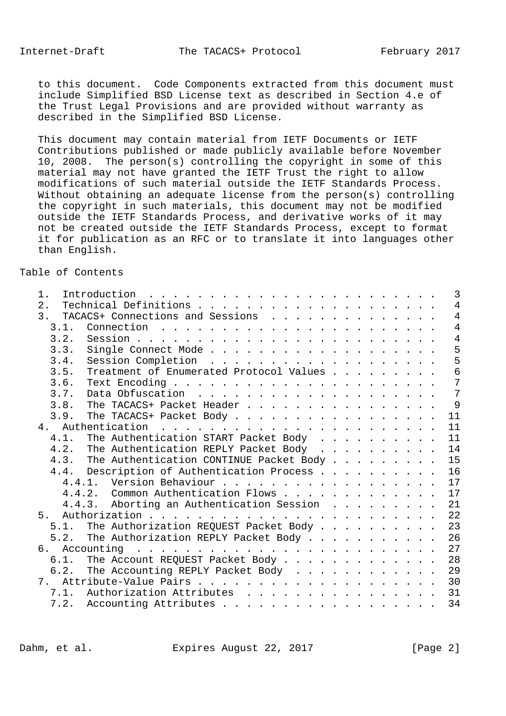to this document. Code Components extracted from this document must include Simplified BSD License text as described in Section 4.e of the Trust Legal Provisions and are provided without warranty as described in the Simplified BSD License.

 This document may contain material from IETF Documents or IETF Contributions published or made publicly available before November 10, 2008. The person(s) controlling the copyright in some of this material may not have granted the IETF Trust the right to allow modifications of such material outside the IETF Standards Process. Without obtaining an adequate license from the person(s) controlling the copyright in such materials, this document may not be modified outside the IETF Standards Process, and derivative works of it may not be created outside the IETF Standards Process, except to format it for publication as an RFC or to translate it into languages other than English.

## Table of Contents

| 1.    | Introduction $\ldots \ldots \ldots \ldots \ldots \ldots \ldots \ldots$                                                                                                                                                                         | 3              |
|-------|------------------------------------------------------------------------------------------------------------------------------------------------------------------------------------------------------------------------------------------------|----------------|
| $2$ . |                                                                                                                                                                                                                                                | $\overline{4}$ |
| 3.    | TACACS+ Connections and Sessions                                                                                                                                                                                                               | $\overline{4}$ |
| 3.1.  |                                                                                                                                                                                                                                                | $\overline{4}$ |
| 3.2.  |                                                                                                                                                                                                                                                | $\overline{4}$ |
| 3.3.  |                                                                                                                                                                                                                                                | 5              |
| 3.4.  |                                                                                                                                                                                                                                                | 5              |
| 3.5.  | Treatment of Enumerated Protocol Values                                                                                                                                                                                                        | 6              |
| 3.6.  |                                                                                                                                                                                                                                                | 7              |
| 3.7.  |                                                                                                                                                                                                                                                | 7              |
| 3.8.  | The TACACS+ Packet Header                                                                                                                                                                                                                      | 9              |
| 3.9.  | The TACACS+ Packet Body                                                                                                                                                                                                                        | 11             |
|       |                                                                                                                                                                                                                                                | 11             |
| 4.1.  | The Authentication START Packet Body                                                                                                                                                                                                           | 11             |
| 4.2.  | The Authentication REPLY Packet Body                                                                                                                                                                                                           | 14             |
|       | 4.3. The Authentication CONTINUE Packet Body                                                                                                                                                                                                   | 15             |
|       | 4.4. Description of Authentication Process                                                                                                                                                                                                     | 16             |
|       | 4.4.1. Version Behaviour                                                                                                                                                                                                                       | 17             |
|       | 4.4.2. Common Authentication Flows                                                                                                                                                                                                             | 17             |
|       | 4.4.3. Aborting an Authentication Session                                                                                                                                                                                                      | 21             |
| 5.    |                                                                                                                                                                                                                                                | 22             |
|       | 5.1. The Authorization REQUEST Packet Body                                                                                                                                                                                                     | 23             |
| 5.2.  | The Authorization REPLY Packet Body                                                                                                                                                                                                            | 26             |
|       | 6. Accounting<br>. The contract of the contract of the contract of the contract of the contract of the contract of the contract of the contract of the contract of the contract of the contract of the contract of the contract of the contrac | 27             |
| 6.1.  | The Account REQUEST Packet Body                                                                                                                                                                                                                | 28             |
|       | 6.2. The Accounting REPLY Packet Body                                                                                                                                                                                                          | 29             |
|       |                                                                                                                                                                                                                                                | 30             |
|       | 7.1. Authorization Attributes 31                                                                                                                                                                                                               |                |
|       | 7.2. Accounting Attributes                                                                                                                                                                                                                     | 34             |
|       |                                                                                                                                                                                                                                                |                |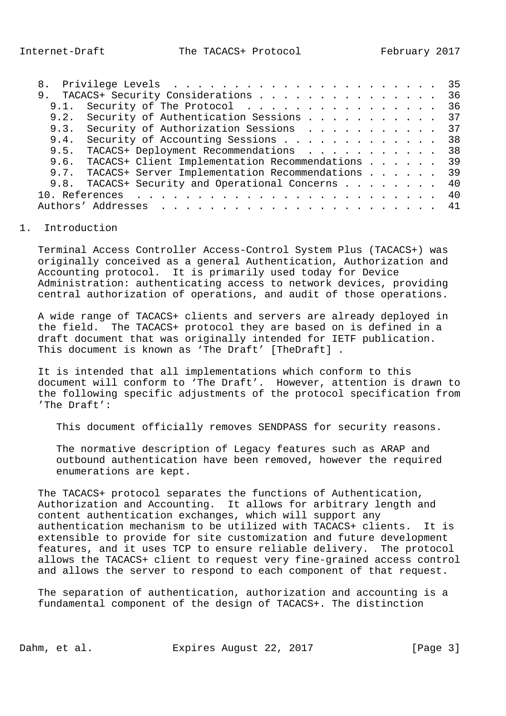|                                                       |  |  |  | 35  |
|-------------------------------------------------------|--|--|--|-----|
| 9. TACACS+ Security Considerations                    |  |  |  | 36  |
| 9.1. Security of The Protocol                         |  |  |  | 36  |
| 9.2. Security of Authentication Sessions 37           |  |  |  |     |
| 9.3. Security of Authorization Sessions 37            |  |  |  |     |
| Security of Accounting Sessions<br>9.4.               |  |  |  | 38  |
| 9.5. TACACS+ Deployment Recommendations 38            |  |  |  |     |
| 9.6. TACACS+ Client Implementation Recommendations 39 |  |  |  |     |
| 9.7. TACACS+ Server Implementation Recommendations 39 |  |  |  |     |
| 9.8. TACACS+ Security and Operational Concerns        |  |  |  | -40 |
|                                                       |  |  |  |     |
|                                                       |  |  |  |     |

## 1. Introduction

 Terminal Access Controller Access-Control System Plus (TACACS+) was originally conceived as a general Authentication, Authorization and Accounting protocol. It is primarily used today for Device Administration: authenticating access to network devices, providing central authorization of operations, and audit of those operations.

 A wide range of TACACS+ clients and servers are already deployed in the field. The TACACS+ protocol they are based on is defined in a draft document that was originally intended for IETF publication. This document is known as 'The Draft' [TheDraft].

 It is intended that all implementations which conform to this document will conform to 'The Draft'. However, attention is drawn to the following specific adjustments of the protocol specification from 'The Draft':

This document officially removes SENDPASS for security reasons.

 The normative description of Legacy features such as ARAP and outbound authentication have been removed, however the required enumerations are kept.

 The TACACS+ protocol separates the functions of Authentication, Authorization and Accounting. It allows for arbitrary length and content authentication exchanges, which will support any authentication mechanism to be utilized with TACACS+ clients. It is extensible to provide for site customization and future development features, and it uses TCP to ensure reliable delivery. The protocol allows the TACACS+ client to request very fine-grained access control and allows the server to respond to each component of that request.

 The separation of authentication, authorization and accounting is a fundamental component of the design of TACACS+. The distinction

Dahm, et al. **Expires August 22, 2017** [Page 3]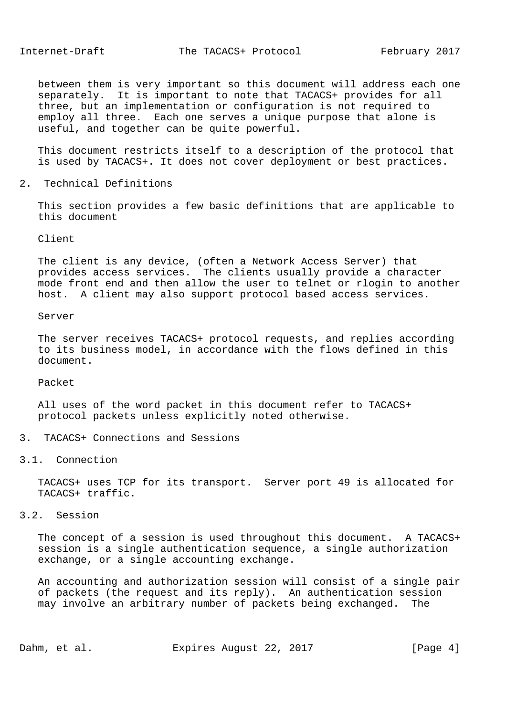between them is very important so this document will address each one separately. It is important to note that TACACS+ provides for all three, but an implementation or configuration is not required to employ all three. Each one serves a unique purpose that alone is useful, and together can be quite powerful.

 This document restricts itself to a description of the protocol that is used by TACACS+. It does not cover deployment or best practices.

2. Technical Definitions

 This section provides a few basic definitions that are applicable to this document

Client

 The client is any device, (often a Network Access Server) that provides access services. The clients usually provide a character mode front end and then allow the user to telnet or rlogin to another host. A client may also support protocol based access services.

## Server

 The server receives TACACS+ protocol requests, and replies according to its business model, in accordance with the flows defined in this document.

Packet

 All uses of the word packet in this document refer to TACACS+ protocol packets unless explicitly noted otherwise.

3. TACACS+ Connections and Sessions

## 3.1. Connection

 TACACS+ uses TCP for its transport. Server port 49 is allocated for TACACS+ traffic.

3.2. Session

 The concept of a session is used throughout this document. A TACACS+ session is a single authentication sequence, a single authorization exchange, or a single accounting exchange.

 An accounting and authorization session will consist of a single pair of packets (the request and its reply). An authentication session may involve an arbitrary number of packets being exchanged. The

Dahm, et al. Expires August 22, 2017 [Page 4]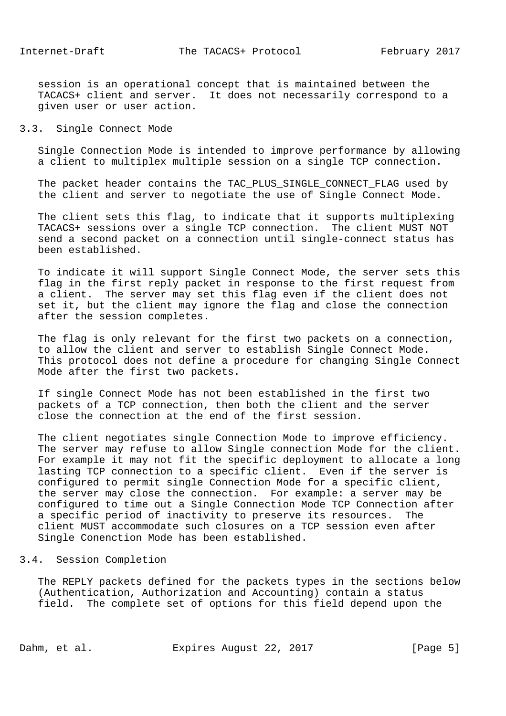session is an operational concept that is maintained between the TACACS+ client and server. It does not necessarily correspond to a given user or user action.

## 3.3. Single Connect Mode

 Single Connection Mode is intended to improve performance by allowing a client to multiplex multiple session on a single TCP connection.

The packet header contains the TAC PLUS SINGLE CONNECT FLAG used by the client and server to negotiate the use of Single Connect Mode.

 The client sets this flag, to indicate that it supports multiplexing TACACS+ sessions over a single TCP connection. The client MUST NOT send a second packet on a connection until single-connect status has been established.

 To indicate it will support Single Connect Mode, the server sets this flag in the first reply packet in response to the first request from a client. The server may set this flag even if the client does not set it, but the client may ignore the flag and close the connection after the session completes.

 The flag is only relevant for the first two packets on a connection, to allow the client and server to establish Single Connect Mode. This protocol does not define a procedure for changing Single Connect Mode after the first two packets.

 If single Connect Mode has not been established in the first two packets of a TCP connection, then both the client and the server close the connection at the end of the first session.

 The client negotiates single Connection Mode to improve efficiency. The server may refuse to allow Single connection Mode for the client. For example it may not fit the specific deployment to allocate a long lasting TCP connection to a specific client. Even if the server is configured to permit single Connection Mode for a specific client, the server may close the connection. For example: a server may be configured to time out a Single Connection Mode TCP Connection after a specific period of inactivity to preserve its resources. The client MUST accommodate such closures on a TCP session even after Single Conenction Mode has been established.

#### 3.4. Session Completion

 The REPLY packets defined for the packets types in the sections below (Authentication, Authorization and Accounting) contain a status field. The complete set of options for this field depend upon the

Dahm, et al. Expires August 22, 2017 [Page 5]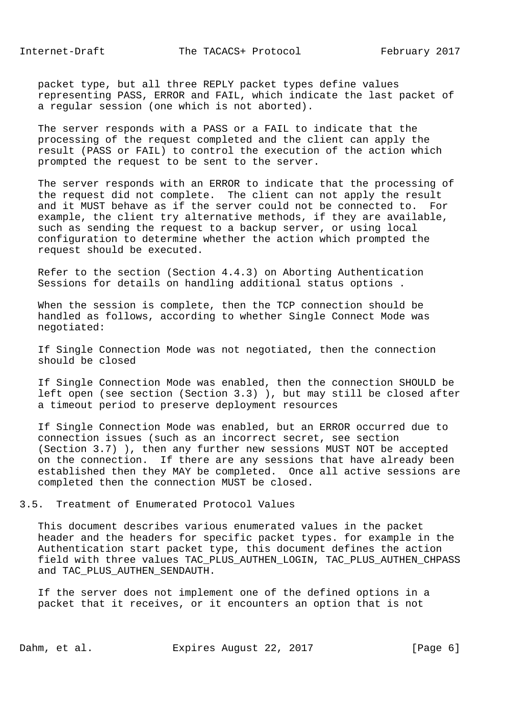packet type, but all three REPLY packet types define values representing PASS, ERROR and FAIL, which indicate the last packet of a regular session (one which is not aborted).

 The server responds with a PASS or a FAIL to indicate that the processing of the request completed and the client can apply the result (PASS or FAIL) to control the execution of the action which prompted the request to be sent to the server.

 The server responds with an ERROR to indicate that the processing of the request did not complete. The client can not apply the result and it MUST behave as if the server could not be connected to. For example, the client try alternative methods, if they are available, such as sending the request to a backup server, or using local configuration to determine whether the action which prompted the request should be executed.

 Refer to the section (Section 4.4.3) on Aborting Authentication Sessions for details on handling additional status options .

 When the session is complete, then the TCP connection should be handled as follows, according to whether Single Connect Mode was negotiated:

 If Single Connection Mode was not negotiated, then the connection should be closed

 If Single Connection Mode was enabled, then the connection SHOULD be left open (see section (Section 3.3) ), but may still be closed after a timeout period to preserve deployment resources

 If Single Connection Mode was enabled, but an ERROR occurred due to connection issues (such as an incorrect secret, see section (Section 3.7) ), then any further new sessions MUST NOT be accepted on the connection. If there are any sessions that have already been established then they MAY be completed. Once all active sessions are completed then the connection MUST be closed.

3.5. Treatment of Enumerated Protocol Values

 This document describes various enumerated values in the packet header and the headers for specific packet types. for example in the Authentication start packet type, this document defines the action field with three values TAC\_PLUS\_AUTHEN\_LOGIN, TAC\_PLUS\_AUTHEN\_CHPASS and TAC\_PLUS\_AUTHEN\_SENDAUTH.

 If the server does not implement one of the defined options in a packet that it receives, or it encounters an option that is not

Dahm, et al. **Expires August 22, 2017** [Page 6]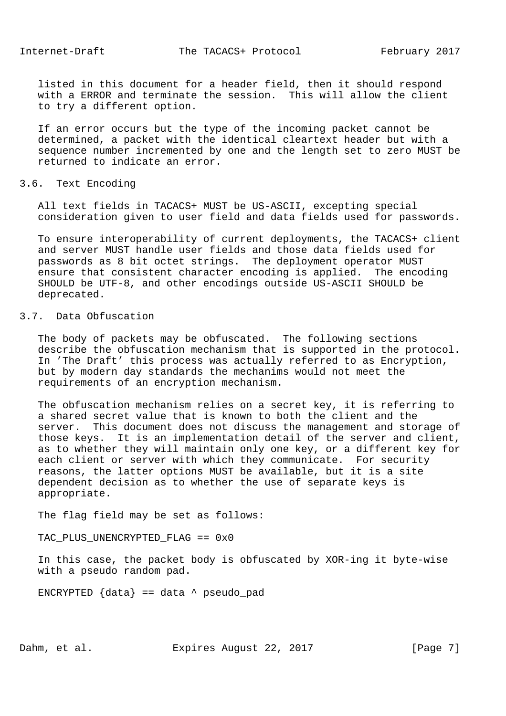listed in this document for a header field, then it should respond with a ERROR and terminate the session. This will allow the client to try a different option.

 If an error occurs but the type of the incoming packet cannot be determined, a packet with the identical cleartext header but with a sequence number incremented by one and the length set to zero MUST be returned to indicate an error.

#### 3.6. Text Encoding

 All text fields in TACACS+ MUST be US-ASCII, excepting special consideration given to user field and data fields used for passwords.

 To ensure interoperability of current deployments, the TACACS+ client and server MUST handle user fields and those data fields used for passwords as 8 bit octet strings. The deployment operator MUST ensure that consistent character encoding is applied. The encoding SHOULD be UTF-8, and other encodings outside US-ASCII SHOULD be deprecated.

# 3.7. Data Obfuscation

 The body of packets may be obfuscated. The following sections describe the obfuscation mechanism that is supported in the protocol. In 'The Draft' this process was actually referred to as Encryption, but by modern day standards the mechanims would not meet the requirements of an encryption mechanism.

 The obfuscation mechanism relies on a secret key, it is referring to a shared secret value that is known to both the client and the server. This document does not discuss the management and storage of those keys. It is an implementation detail of the server and client, as to whether they will maintain only one key, or a different key for each client or server with which they communicate. For security reasons, the latter options MUST be available, but it is a site dependent decision as to whether the use of separate keys is appropriate.

The flag field may be set as follows:

TAC\_PLUS\_UNENCRYPTED\_FLAG == 0x0

 In this case, the packet body is obfuscated by XOR-ing it byte-wise with a pseudo random pad.

ENCRYPTED  $\{data\} == data \land pseudo\_pad$ 

Dahm, et al. Expires August 22, 2017 [Page 7]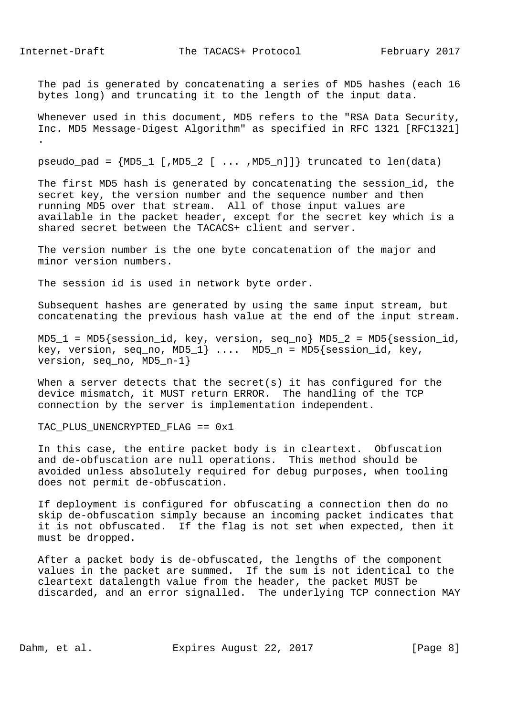The pad is generated by concatenating a series of MD5 hashes (each 16 bytes long) and truncating it to the length of the input data.

Whenever used in this document, MD5 refers to the "RSA Data Security, Inc. MD5 Message-Digest Algorithm" as specified in RFC 1321 [RFC1321] .

 $pseudo\_pad = {MD5_1$  [, $MD5_2$  [ ... , $MD5_n$ ]]} truncated to len(data)

The first MD5 hash is generated by concatenating the session id, the secret key, the version number and the sequence number and then running MD5 over that stream. All of those input values are available in the packet header, except for the secret key which is a shared secret between the TACACS+ client and server.

 The version number is the one byte concatenation of the major and minor version numbers.

The session id is used in network byte order.

 Subsequent hashes are generated by using the same input stream, but concatenating the previous hash value at the end of the input stream.

 $MD5_1 = MD5$  {session\_id, key, version, seq\_no}  $MD5_2 = MD5$  {session id, key, version, seq\_no, MD5\_1}  $\dots$  MD5\_n = MD5{session\_id, key, version, seq\_no, MD5\_n-1}

When a server detects that the secret(s) it has configured for the device mismatch, it MUST return ERROR. The handling of the TCP connection by the server is implementation independent.

TAC\_PLUS\_UNENCRYPTED\_FLAG == 0x1

 In this case, the entire packet body is in cleartext. Obfuscation and de-obfuscation are null operations. This method should be avoided unless absolutely required for debug purposes, when tooling does not permit de-obfuscation.

 If deployment is configured for obfuscating a connection then do no skip de-obfuscation simply because an incoming packet indicates that it is not obfuscated. If the flag is not set when expected, then it must be dropped.

 After a packet body is de-obfuscated, the lengths of the component values in the packet are summed. If the sum is not identical to the cleartext datalength value from the header, the packet MUST be discarded, and an error signalled. The underlying TCP connection MAY

Dahm, et al. **Expires August 22, 2017** [Page 8]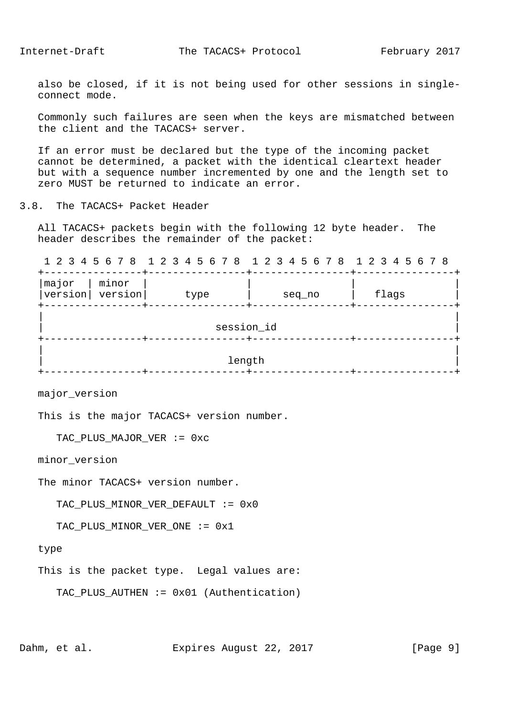also be closed, if it is not being used for other sessions in single connect mode.

 Commonly such failures are seen when the keys are mismatched between the client and the TACACS+ server.

 If an error must be declared but the type of the incoming packet cannot be determined, a packet with the identical cleartext header but with a sequence number incremented by one and the length set to zero MUST be returned to indicate an error.

3.8. The TACACS+ Packet Header

 All TACACS+ packets begin with the following 12 byte header. The header describes the remainder of the packet:

1 2 3 4 5 6 7 8 1 2 3 4 5 6 7 8 1 2 3 4 5 6 7 8 1 2 3 4 5 6 7 8

| minor<br>major<br>version version | type   | seq_no | flags |  |  |  |  |
|-----------------------------------|--------|--------|-------|--|--|--|--|
| session_id                        |        |        |       |  |  |  |  |
|                                   | length |        |       |  |  |  |  |

major\_version

This is the major TACACS+ version number.

```
 TAC_PLUS_MAJOR_VER := 0xc
```
minor\_version

The minor TACACS+ version number.

TAC\_PLUS\_MINOR\_VER\_DEFAULT := 0x0

TAC PLUS MINOR VER ONE := 0x1

type

This is the packet type. Legal values are:

```
 TAC_PLUS_AUTHEN := 0x01 (Authentication)
```
Dahm, et al. Expires August 22, 2017 [Page 9]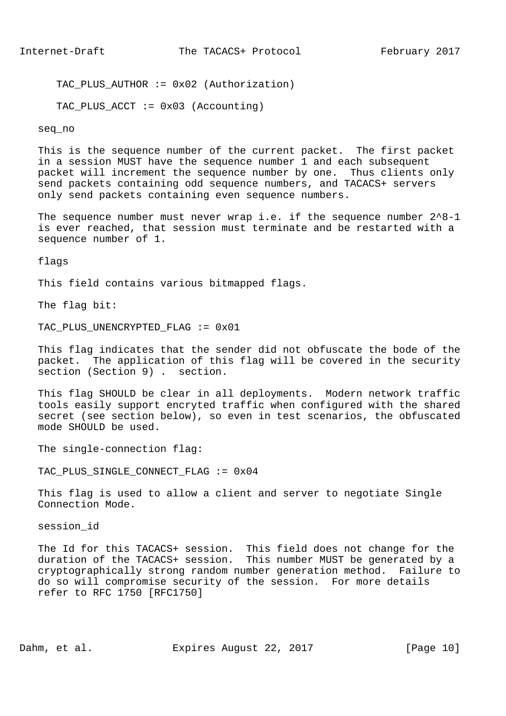TAC PLUS AUTHOR  $:= 0x02$  (Authorization)

TAC\_PLUS\_ACCT := 0x03 (Accounting)

#### seq\_no

 This is the sequence number of the current packet. The first packet in a session MUST have the sequence number 1 and each subsequent packet will increment the sequence number by one. Thus clients only send packets containing odd sequence numbers, and TACACS+ servers only send packets containing even sequence numbers.

The sequence number must never wrap i.e. if the sequence number  $2^8-1$  is ever reached, that session must terminate and be restarted with a sequence number of 1.

flags

This field contains various bitmapped flags.

The flag bit:

TAC\_PLUS\_UNENCRYPTED\_FLAG := 0x01

 This flag indicates that the sender did not obfuscate the bode of the packet. The application of this flag will be covered in the security section (Section 9) . section.

 This flag SHOULD be clear in all deployments. Modern network traffic tools easily support encryted traffic when configured with the shared secret (see section below), so even in test scenarios, the obfuscated mode SHOULD be used.

The single-connection flag:

TAC PLUS SINGLE CONNECT FLAG := 0x04

 This flag is used to allow a client and server to negotiate Single Connection Mode.

session\_id

 The Id for this TACACS+ session. This field does not change for the duration of the TACACS+ session. This number MUST be generated by a cryptographically strong random number generation method. Failure to do so will compromise security of the session. For more details refer to RFC 1750 [RFC1750]

Dahm, et al. Expires August 22, 2017 [Page 10]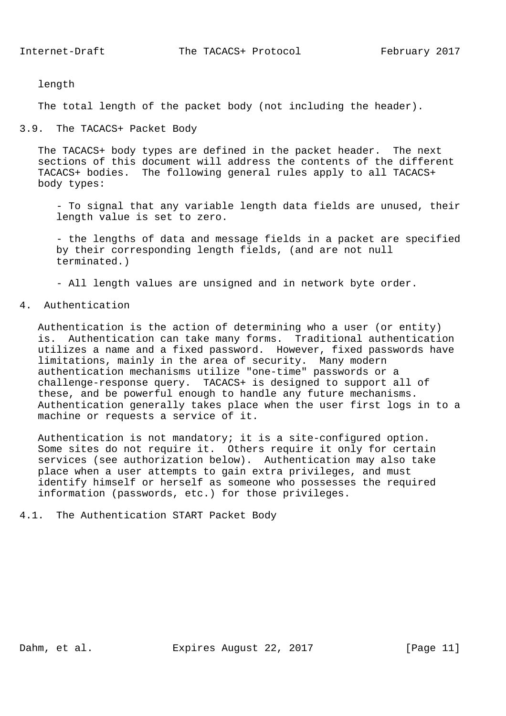length

The total length of the packet body (not including the header).

## 3.9. The TACACS+ Packet Body

 The TACACS+ body types are defined in the packet header. The next sections of this document will address the contents of the different TACACS+ bodies. The following general rules apply to all TACACS+ body types:

 - To signal that any variable length data fields are unused, their length value is set to zero.

 - the lengths of data and message fields in a packet are specified by their corresponding length fields, (and are not null terminated.)

- All length values are unsigned and in network byte order.

## 4. Authentication

 Authentication is the action of determining who a user (or entity) is. Authentication can take many forms. Traditional authentication utilizes a name and a fixed password. However, fixed passwords have limitations, mainly in the area of security. Many modern authentication mechanisms utilize "one-time" passwords or a challenge-response query. TACACS+ is designed to support all of these, and be powerful enough to handle any future mechanisms. Authentication generally takes place when the user first logs in to a machine or requests a service of it.

 Authentication is not mandatory; it is a site-configured option. Some sites do not require it. Others require it only for certain services (see authorization below). Authentication may also take place when a user attempts to gain extra privileges, and must identify himself or herself as someone who possesses the required information (passwords, etc.) for those privileges.

4.1. The Authentication START Packet Body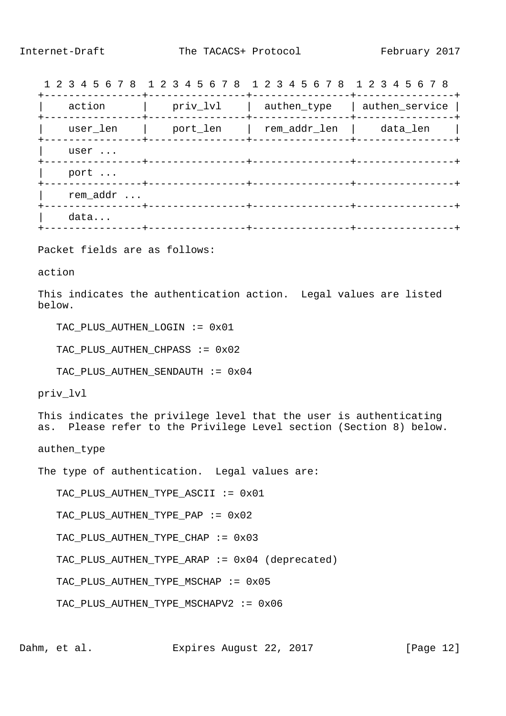1 2 3 4 5 6 7 8 1 2 3 4 5 6 7 8 1 2 3 4 5 6 7 8 1 2 3 4 5 6 7 8

| action   | priv_lvl | authen_type  | authen_service |
|----------|----------|--------------|----------------|
| user_len | port_len | rem_addr_len | data_len       |
| user     |          |              |                |
| port     |          |              |                |
| rem_addr |          |              |                |
| data     |          |              |                |
|          |          |              |                |

Packet fields are as follows:

action

 This indicates the authentication action. Legal values are listed below.

TAC\_PLUS\_AUTHEN\_LOGIN := 0x01

TAC PLUS AUTHEN CHPASS := 0x02

TAC PLUS AUTHEN SENDAUTH := 0x04

priv\_lvl

 This indicates the privilege level that the user is authenticating as. Please refer to the Privilege Level section (Section 8) below.

authen\_type

The type of authentication. Legal values are:

TAC\_PLUS\_AUTHEN\_TYPE\_ASCII := 0x01

TAC\_PLUS\_AUTHEN\_TYPE\_PAP := 0x02

TAC PLUS AUTHEN TYPE CHAP := 0x03

TAC\_PLUS\_AUTHEN\_TYPE\_ARAP := 0x04 (deprecated)

TAC PLUS AUTHEN TYPE MSCHAP := 0x05

TAC PLUS AUTHEN TYPE MSCHAPV2 := 0x06

Dahm, et al. Expires August 22, 2017 [Page 12]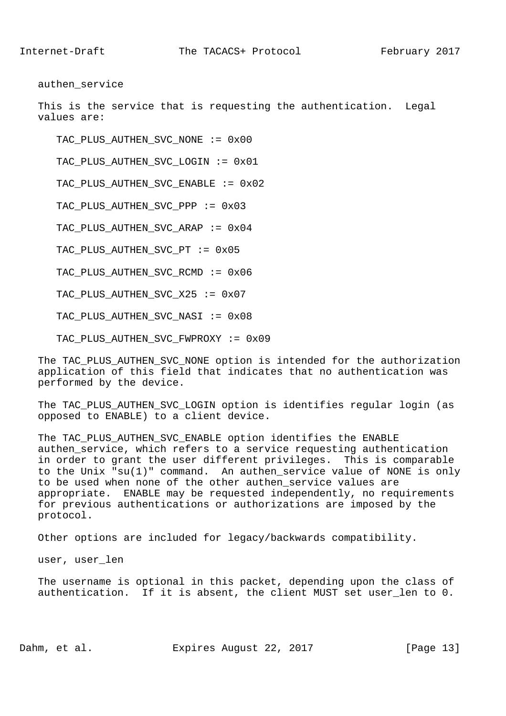authen\_service

 This is the service that is requesting the authentication. Legal values are:

TAC\_PLUS\_AUTHEN\_SVC\_NONE := 0x00

TAC\_PLUS\_AUTHEN\_SVC\_LOGIN := 0x01

TAC\_PLUS\_AUTHEN\_SVC\_ENABLE := 0x02

TAC\_PLUS\_AUTHEN\_SVC\_PPP := 0x03

TAC\_PLUS\_AUTHEN\_SVC\_ARAP := 0x04

TAC PLUS AUTHEN SVC PT := 0x05

TAC\_PLUS\_AUTHEN\_SVC\_RCMD := 0x06

TAC PLUS AUTHEN SVC X25 := 0x07

TAC PLUS AUTHEN SVC NASI := 0x08

TAC\_PLUS\_AUTHEN\_SVC\_FWPROXY := 0x09

 The TAC\_PLUS\_AUTHEN\_SVC\_NONE option is intended for the authorization application of this field that indicates that no authentication was performed by the device.

The TAC PLUS AUTHEN SVC LOGIN option is identifies regular login (as opposed to ENABLE) to a client device.

 The TAC\_PLUS\_AUTHEN\_SVC\_ENABLE option identifies the ENABLE authen\_service, which refers to a service requesting authentication in order to grant the user different privileges. This is comparable to the Unix "su(1)" command. An authen\_service value of NONE is only to be used when none of the other authen\_service values are appropriate. ENABLE may be requested independently, no requirements for previous authentications or authorizations are imposed by the protocol.

Other options are included for legacy/backwards compatibility.

user, user\_len

 The username is optional in this packet, depending upon the class of authentication. If it is absent, the client MUST set user\_len to 0.

Dahm, et al. Expires August 22, 2017 [Page 13]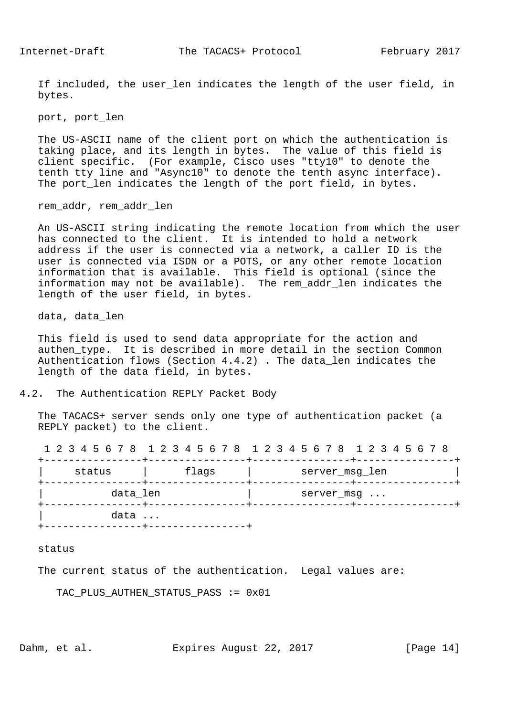If included, the user len indicates the length of the user field, in bytes.

port, port\_len

 The US-ASCII name of the client port on which the authentication is taking place, and its length in bytes. The value of this field is client specific. (For example, Cisco uses "tty10" to denote the tenth tty line and "Async10" to denote the tenth async interface). The port len indicates the length of the port field, in bytes.

rem\_addr, rem\_addr\_len

 An US-ASCII string indicating the remote location from which the user has connected to the client. It is intended to hold a network address if the user is connected via a network, a caller ID is the user is connected via ISDN or a POTS, or any other remote location information that is available. This field is optional (since the information may not be available). The rem\_addr\_len indicates the length of the user field, in bytes.

data, data\_len

 This field is used to send data appropriate for the action and authen\_type. It is described in more detail in the section Common Authentication flows (Section 4.4.2) . The data\_len indicates the length of the data field, in bytes.

## 4.2. The Authentication REPLY Packet Body

 The TACACS+ server sends only one type of authentication packet (a REPLY packet) to the client.

1 2 3 4 5 6 7 8 1 2 3 4 5 6 7 8 1 2 3 4 5 6 7 8 1 2 3 4 5 6 7 8

| status   | flags | server_msg_len |
|----------|-------|----------------|
| data_len |       | server_msg     |
| data     |       |                |

#### status

The current status of the authentication. Legal values are:

TAC\_PLUS\_AUTHEN\_STATUS\_PASS := 0x01

Dahm, et al. Expires August 22, 2017 [Page 14]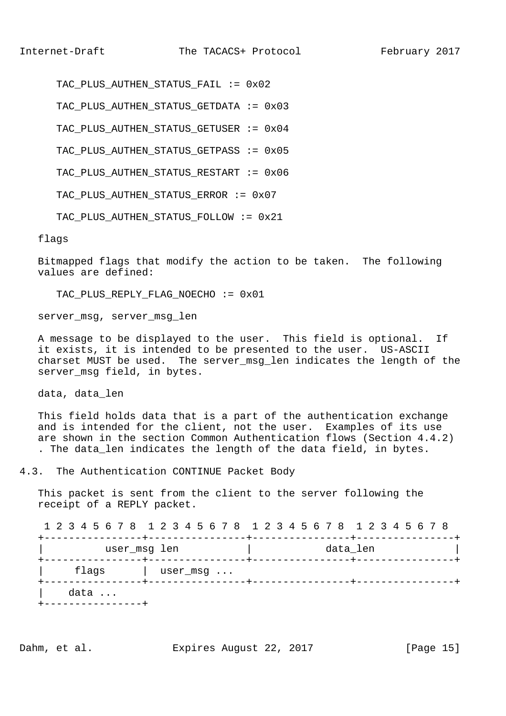TAC PLUS AUTHEN STATUS FAIL := 0x02

TAC\_PLUS\_AUTHEN\_STATUS\_GETDATA := 0x03

TAC PLUS AUTHEN STATUS GETUSER := 0x04

TAC\_PLUS\_AUTHEN\_STATUS\_GETPASS := 0x05

TAC\_PLUS\_AUTHEN\_STATUS\_RESTART := 0x06

TAC\_PLUS\_AUTHEN\_STATUS\_ERROR := 0x07

TAC PLUS AUTHEN STATUS FOLLOW := 0x21

flags

 Bitmapped flags that modify the action to be taken. The following values are defined:

TAC\_PLUS\_REPLY\_FLAG\_NOECHO := 0x01

server msg, server msg len

 A message to be displayed to the user. This field is optional. If it exists, it is intended to be presented to the user. US-ASCII charset MUST be used. The server\_msg\_len indicates the length of the server\_msg field, in bytes.

data, data\_len

 This field holds data that is a part of the authentication exchange and is intended for the client, not the user. Examples of its use are shown in the section Common Authentication flows (Section 4.4.2) . The data\_len indicates the length of the data field, in bytes.

4.3. The Authentication CONTINUE Packet Body

 This packet is sent from the client to the server following the receipt of a REPLY packet.

 1 2 3 4 5 6 7 8 1 2 3 4 5 6 7 8 1 2 3 4 5 6 7 8 1 2 3 4 5 6 7 8 +----------------+----------------+----------------+----------------+ | user\_msg len | data\_len | +----------------+----------------+----------------+----------------+ | flags | user\_msg ... +----------------+----------------+----------------+----------------+ | data ... +----------------+

Dahm, et al. Expires August 22, 2017 [Page 15]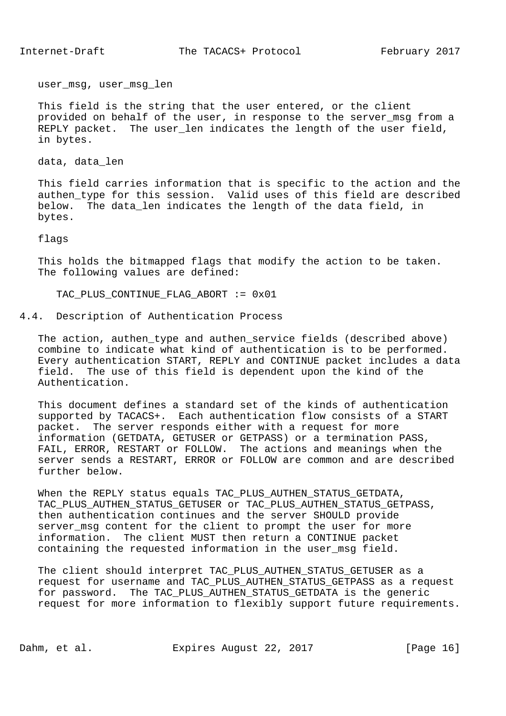user msg, user msg len

 This field is the string that the user entered, or the client provided on behalf of the user, in response to the server msg from a REPLY packet. The user\_len indicates the length of the user field, in bytes.

data, data\_len

 This field carries information that is specific to the action and the authen\_type for this session. Valid uses of this field are described below. The data\_len indicates the length of the data field, in bytes.

flags

 This holds the bitmapped flags that modify the action to be taken. The following values are defined:

TAC\_PLUS\_CONTINUE\_FLAG\_ABORT := 0x01

4.4. Description of Authentication Process

 The action, authen\_type and authen\_service fields (described above) combine to indicate what kind of authentication is to be performed. Every authentication START, REPLY and CONTINUE packet includes a data field. The use of this field is dependent upon the kind of the Authentication.

 This document defines a standard set of the kinds of authentication supported by TACACS+. Each authentication flow consists of a START packet. The server responds either with a request for more information (GETDATA, GETUSER or GETPASS) or a termination PASS, FAIL, ERROR, RESTART or FOLLOW. The actions and meanings when the server sends a RESTART, ERROR or FOLLOW are common and are described further below.

When the REPLY status equals TAC PLUS AUTHEN STATUS GETDATA, TAC\_PLUS\_AUTHEN\_STATUS\_GETUSER or TAC\_PLUS\_AUTHEN\_STATUS\_GETPASS, then authentication continues and the server SHOULD provide server msg content for the client to prompt the user for more information. The client MUST then return a CONTINUE packet containing the requested information in the user\_msg field.

 The client should interpret TAC\_PLUS\_AUTHEN\_STATUS\_GETUSER as a request for username and TAC\_PLUS\_AUTHEN\_STATUS\_GETPASS as a request for password. The TAC\_PLUS\_AUTHEN\_STATUS\_GETDATA is the generic request for more information to flexibly support future requirements.

Dahm, et al. Expires August 22, 2017 [Page 16]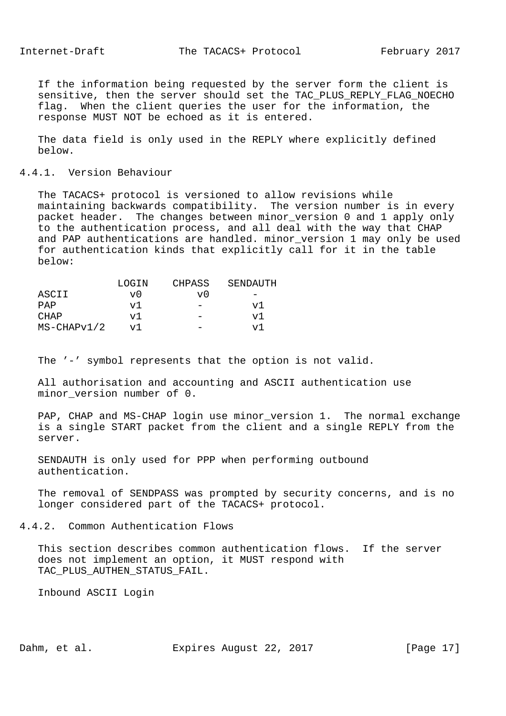If the information being requested by the server form the client is sensitive, then the server should set the TAC\_PLUS\_REPLY\_FLAG\_NOECHO flag. When the client queries the user for the information, the response MUST NOT be echoed as it is entered.

 The data field is only used in the REPLY where explicitly defined below.

4.4.1. Version Behaviour

 The TACACS+ protocol is versioned to allow revisions while maintaining backwards compatibility. The version number is in every packet header. The changes between minor version 0 and 1 apply only to the authentication process, and all deal with the way that CHAP and PAP authentications are handled. minor\_version 1 may only be used for authentication kinds that explicitly call for it in the table below:

|               | LOGIN | CHPASS | SENDAUTH |
|---------------|-------|--------|----------|
| ASCII         | vθ    | v()    |          |
| PAP           | v1    | -      | v1       |
| CHAP          | v.    |        | v1       |
| $MS-CHAPv1/2$ | v1    |        | ٦z٦      |

The '-' symbol represents that the option is not valid.

 All authorisation and accounting and ASCII authentication use minor\_version number of 0.

 PAP, CHAP and MS-CHAP login use minor\_version 1. The normal exchange is a single START packet from the client and a single REPLY from the server.

 SENDAUTH is only used for PPP when performing outbound authentication.

 The removal of SENDPASS was prompted by security concerns, and is no longer considered part of the TACACS+ protocol.

4.4.2. Common Authentication Flows

 This section describes common authentication flows. If the server does not implement an option, it MUST respond with TAC\_PLUS\_AUTHEN\_STATUS\_FAIL.

Inbound ASCII Login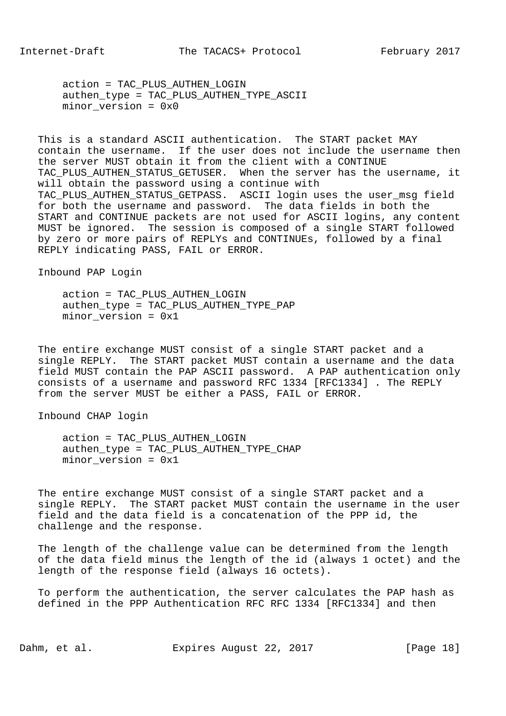action = TAC\_PLUS\_AUTHEN\_LOGIN authen\_type = TAC\_PLUS\_AUTHEN\_TYPE\_ASCII minor\_version = 0x0

 This is a standard ASCII authentication. The START packet MAY contain the username. If the user does not include the username then the server MUST obtain it from the client with a CONTINUE TAC PLUS AUTHEN STATUS GETUSER. When the server has the username, it will obtain the password using a continue with TAC\_PLUS\_AUTHEN\_STATUS\_GETPASS. ASCII login uses the user\_msg field for both the username and password. The data fields in both the START and CONTINUE packets are not used for ASCII logins, any content MUST be ignored. The session is composed of a single START followed by zero or more pairs of REPLYs and CONTINUEs, followed by a final REPLY indicating PASS, FAIL or ERROR.

Inbound PAP Login

 action = TAC\_PLUS\_AUTHEN\_LOGIN authen\_type = TAC\_PLUS\_AUTHEN\_TYPE\_PAP minor version =  $0x1$ 

 The entire exchange MUST consist of a single START packet and a single REPLY. The START packet MUST contain a username and the data field MUST contain the PAP ASCII password. A PAP authentication only consists of a username and password RFC 1334 [RFC1334] . The REPLY from the server MUST be either a PASS, FAIL or ERROR.

Inbound CHAP login

 action = TAC\_PLUS\_AUTHEN\_LOGIN authen\_type = TAC\_PLUS\_AUTHEN\_TYPE\_CHAP minor\_version = 0x1

 The entire exchange MUST consist of a single START packet and a single REPLY. The START packet MUST contain the username in the user field and the data field is a concatenation of the PPP id, the challenge and the response.

 The length of the challenge value can be determined from the length of the data field minus the length of the id (always 1 octet) and the length of the response field (always 16 octets).

 To perform the authentication, the server calculates the PAP hash as defined in the PPP Authentication RFC RFC 1334 [RFC1334] and then

Dahm, et al. Expires August 22, 2017 [Page 18]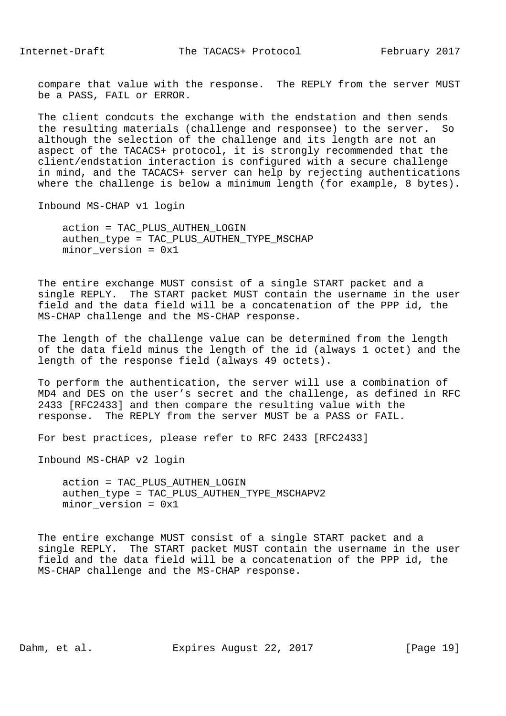compare that value with the response. The REPLY from the server MUST be a PASS, FAIL or ERROR.

 The client condcuts the exchange with the endstation and then sends the resulting materials (challenge and responsee) to the server. So although the selection of the challenge and its length are not an aspect of the TACACS+ protocol, it is strongly recommended that the client/endstation interaction is configured with a secure challenge in mind, and the TACACS+ server can help by rejecting authentications where the challenge is below a minimum length (for example, 8 bytes).

Inbound MS-CHAP v1 login

 action = TAC\_PLUS\_AUTHEN\_LOGIN authen\_type = TAC\_PLUS\_AUTHEN\_TYPE\_MSCHAP minor version =  $0x1$ 

 The entire exchange MUST consist of a single START packet and a single REPLY. The START packet MUST contain the username in the user field and the data field will be a concatenation of the PPP id, the MS-CHAP challenge and the MS-CHAP response.

 The length of the challenge value can be determined from the length of the data field minus the length of the id (always 1 octet) and the length of the response field (always 49 octets).

 To perform the authentication, the server will use a combination of MD4 and DES on the user's secret and the challenge, as defined in RFC 2433 [RFC2433] and then compare the resulting value with the response. The REPLY from the server MUST be a PASS or FAIL.

For best practices, please refer to RFC 2433 [RFC2433]

Inbound MS-CHAP v2 login

 action = TAC\_PLUS\_AUTHEN\_LOGIN authen\_type = TAC\_PLUS\_AUTHEN\_TYPE\_MSCHAPV2 minor\_version = 0x1

 The entire exchange MUST consist of a single START packet and a single REPLY. The START packet MUST contain the username in the user field and the data field will be a concatenation of the PPP id, the MS-CHAP challenge and the MS-CHAP response.

Dahm, et al. Expires August 22, 2017 [Page 19]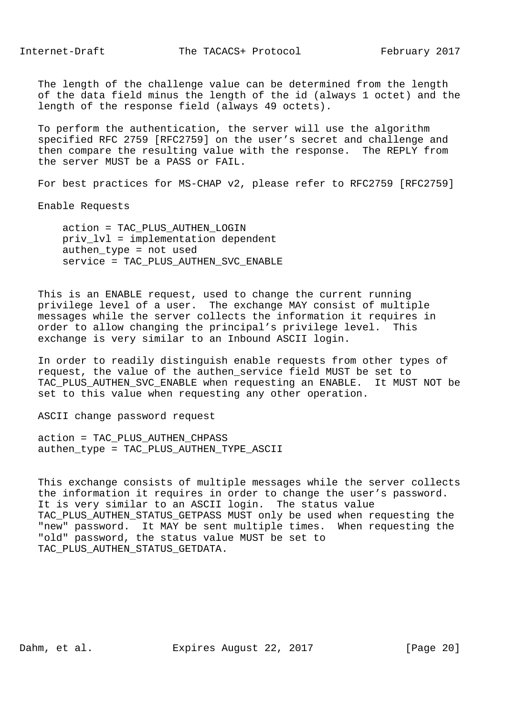Internet-Draft The TACACS+ Protocol February 2017

 The length of the challenge value can be determined from the length of the data field minus the length of the id (always 1 octet) and the length of the response field (always 49 octets).

 To perform the authentication, the server will use the algorithm specified RFC 2759 [RFC2759] on the user's secret and challenge and then compare the resulting value with the response. The REPLY from the server MUST be a PASS or FAIL.

For best practices for MS-CHAP v2, please refer to RFC2759 [RFC2759]

Enable Requests

 action = TAC\_PLUS\_AUTHEN\_LOGIN priv\_lvl = implementation dependent authen\_type = not used service = TAC\_PLUS\_AUTHEN\_SVC\_ENABLE

 This is an ENABLE request, used to change the current running privilege level of a user. The exchange MAY consist of multiple messages while the server collects the information it requires in order to allow changing the principal's privilege level. This exchange is very similar to an Inbound ASCII login.

 In order to readily distinguish enable requests from other types of request, the value of the authen\_service field MUST be set to TAC\_PLUS\_AUTHEN\_SVC\_ENABLE when requesting an ENABLE. It MUST NOT be set to this value when requesting any other operation.

ASCII change password request

 action = TAC\_PLUS\_AUTHEN\_CHPASS authen\_type = TAC\_PLUS\_AUTHEN\_TYPE\_ASCII

 This exchange consists of multiple messages while the server collects the information it requires in order to change the user's password. It is very similar to an ASCII login. The status value TAC\_PLUS\_AUTHEN\_STATUS\_GETPASS MUST only be used when requesting the "new" password. It MAY be sent multiple times. When requesting the "old" password, the status value MUST be set to TAC\_PLUS\_AUTHEN\_STATUS\_GETDATA.

Dahm, et al. Expires August 22, 2017 [Page 20]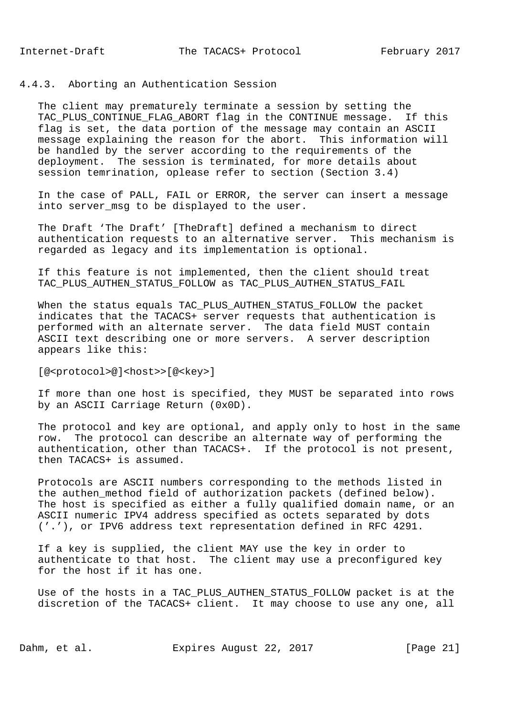## 4.4.3. Aborting an Authentication Session

 The client may prematurely terminate a session by setting the TAC PLUS CONTINUE FLAG ABORT flag in the CONTINUE message. If this flag is set, the data portion of the message may contain an ASCII message explaining the reason for the abort. This information will be handled by the server according to the requirements of the deployment. The session is terminated, for more details about session temrination, oplease refer to section (Section 3.4)

 In the case of PALL, FAIL or ERROR, the server can insert a message into server\_msg to be displayed to the user.

 The Draft 'The Draft' [TheDraft] defined a mechanism to direct authentication requests to an alternative server. This mechanism is regarded as legacy and its implementation is optional.

 If this feature is not implemented, then the client should treat TAC\_PLUS\_AUTHEN\_STATUS\_FOLLOW as TAC\_PLUS\_AUTHEN\_STATUS\_FAIL

 When the status equals TAC\_PLUS\_AUTHEN\_STATUS\_FOLLOW the packet indicates that the TACACS+ server requests that authentication is performed with an alternate server. The data field MUST contain ASCII text describing one or more servers. A server description appears like this:

[@<protocol>@]<host>>[@<key>]

 If more than one host is specified, they MUST be separated into rows by an ASCII Carriage Return (0x0D).

 The protocol and key are optional, and apply only to host in the same row. The protocol can describe an alternate way of performing the authentication, other than TACACS+. If the protocol is not present, then TACACS+ is assumed.

 Protocols are ASCII numbers corresponding to the methods listed in the authen\_method field of authorization packets (defined below). The host is specified as either a fully qualified domain name, or an ASCII numeric IPV4 address specified as octets separated by dots ('.'), or IPV6 address text representation defined in RFC 4291.

 If a key is supplied, the client MAY use the key in order to authenticate to that host. The client may use a preconfigured key for the host if it has one.

 Use of the hosts in a TAC\_PLUS\_AUTHEN\_STATUS\_FOLLOW packet is at the discretion of the TACACS+ client. It may choose to use any one, all

Dahm, et al. Expires August 22, 2017 [Page 21]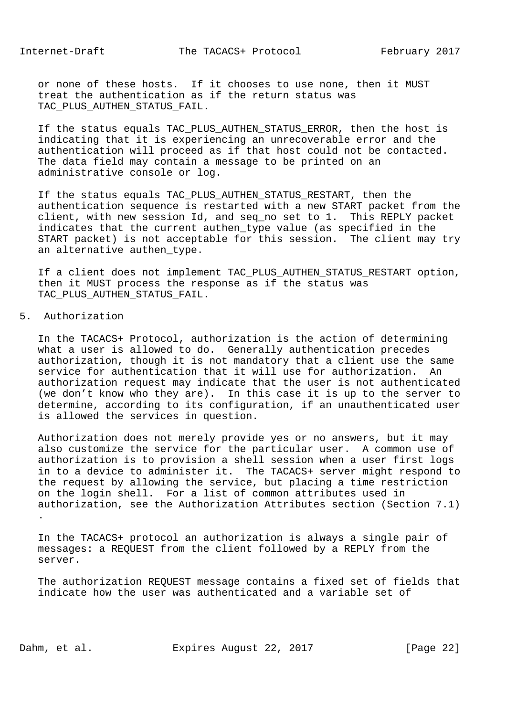or none of these hosts. If it chooses to use none, then it MUST treat the authentication as if the return status was TAC\_PLUS\_AUTHEN\_STATUS\_FAIL.

 If the status equals TAC\_PLUS\_AUTHEN\_STATUS\_ERROR, then the host is indicating that it is experiencing an unrecoverable error and the authentication will proceed as if that host could not be contacted. The data field may contain a message to be printed on an administrative console or log.

 If the status equals TAC\_PLUS\_AUTHEN\_STATUS\_RESTART, then the authentication sequence is restarted with a new START packet from the client, with new session Id, and seq no set to 1. This REPLY packet indicates that the current authen type value (as specified in the START packet) is not acceptable for this session. The client may try an alternative authen type.

 If a client does not implement TAC\_PLUS\_AUTHEN\_STATUS\_RESTART option, then it MUST process the response as if the status was TAC PLUS AUTHEN STATUS FAIL.

5. Authorization

 In the TACACS+ Protocol, authorization is the action of determining what a user is allowed to do. Generally authentication precedes authorization, though it is not mandatory that a client use the same service for authentication that it will use for authorization. An authorization request may indicate that the user is not authenticated (we don't know who they are). In this case it is up to the server to determine, according to its configuration, if an unauthenticated user is allowed the services in question.

 Authorization does not merely provide yes or no answers, but it may also customize the service for the particular user. A common use of authorization is to provision a shell session when a user first logs in to a device to administer it. The TACACS+ server might respond to the request by allowing the service, but placing a time restriction on the login shell. For a list of common attributes used in authorization, see the Authorization Attributes section (Section 7.1) .

 In the TACACS+ protocol an authorization is always a single pair of messages: a REQUEST from the client followed by a REPLY from the server.

 The authorization REQUEST message contains a fixed set of fields that indicate how the user was authenticated and a variable set of

Dahm, et al. Expires August 22, 2017 [Page 22]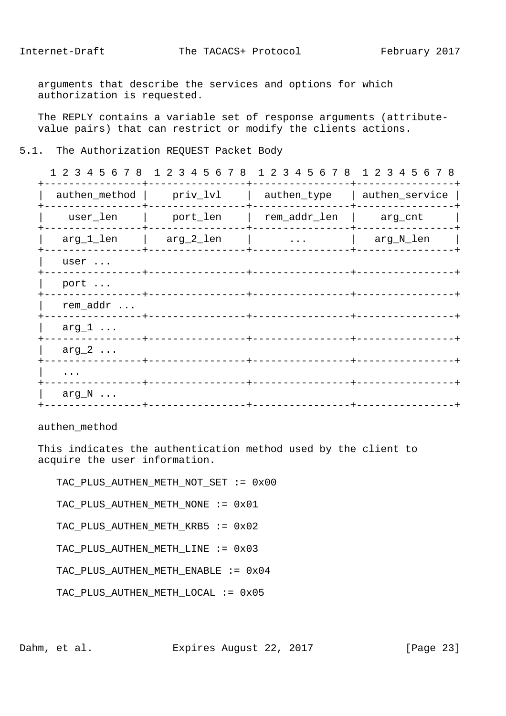arguments that describe the services and options for which authorization is requested.

 The REPLY contains a variable set of response arguments (attribute value pairs) that can restrict or modify the clients actions.

## 5.1. The Authorization REQUEST Packet Body

|                |           | 1 2 3 4 5 6 7 8 1 2 3 4 5 6 7 8 1 2 3 4 5 6 7 8 1 2 3 4 5 6 7 8 |                |
|----------------|-----------|-----------------------------------------------------------------|----------------|
| authen_method  | priv_lvl  | authen_type                                                     | authen_service |
| user_len       | port_len  | rem_addr_len                                                    | arg_cnt        |
| arg_1_len      | arg_2_len | $\ddots$                                                        | arg_N_len      |
| user           |           |                                                                 |                |
| port           |           |                                                                 |                |
| rem_addr       |           |                                                                 |                |
| $arg_1 \ldots$ |           |                                                                 |                |
| $arg_2 \ldots$ |           |                                                                 |                |
| $\cdots$       |           |                                                                 |                |
| $arg_N \ldots$ |           |                                                                 |                |
|                |           |                                                                 |                |

authen\_method

 This indicates the authentication method used by the client to acquire the user information.

 TAC\_PLUS\_AUTHEN\_METH\_NOT\_SET := 0x00 TAC\_PLUS\_AUTHEN\_METH\_NONE := 0x01 TAC\_PLUS\_AUTHEN\_METH\_KRB5 := 0x02 TAC\_PLUS\_AUTHEN\_METH\_LINE := 0x03 TAC\_PLUS\_AUTHEN\_METH\_ENABLE := 0x04 TAC\_PLUS\_AUTHEN\_METH\_LOCAL := 0x05

Dahm, et al. Expires August 22, 2017 [Page 23]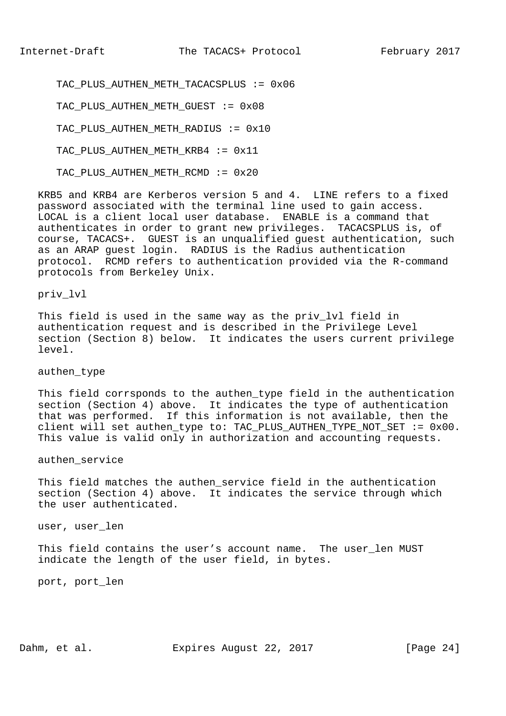TAC PLUS AUTHEN METH TACACSPLUS := 0x06

TAC\_PLUS\_AUTHEN\_METH\_GUEST := 0x08

TAC PLUS AUTHEN METH RADIUS := 0x10

TAC\_PLUS\_AUTHEN\_METH\_KRB4 := 0x11

TAC PLUS AUTHEN METH RCMD := 0x20

 KRB5 and KRB4 are Kerberos version 5 and 4. LINE refers to a fixed password associated with the terminal line used to gain access. LOCAL is a client local user database. ENABLE is a command that authenticates in order to grant new privileges. TACACSPLUS is, of course, TACACS+. GUEST is an unqualified guest authentication, such as an ARAP guest login. RADIUS is the Radius authentication protocol. RCMD refers to authentication provided via the R-command protocols from Berkeley Unix.

priv\_lvl

This field is used in the same way as the priv lvl field in authentication request and is described in the Privilege Level section (Section 8) below. It indicates the users current privilege level.

authen\_type

 This field corrsponds to the authen\_type field in the authentication section (Section 4) above. It indicates the type of authentication that was performed. If this information is not available, then the client will set authen type to: TAC PLUS AUTHEN TYPE NOT SET :=  $0 \times 00$ . This value is valid only in authorization and accounting requests.

authen\_service

 This field matches the authen\_service field in the authentication section (Section 4) above. It indicates the service through which the user authenticated.

user, user\_len

 This field contains the user's account name. The user\_len MUST indicate the length of the user field, in bytes.

port, port\_len

Dahm, et al. Expires August 22, 2017 [Page 24]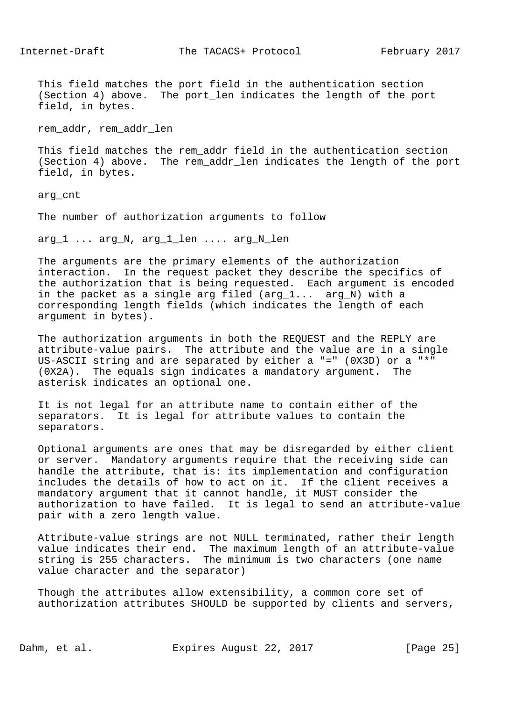This field matches the port field in the authentication section (Section 4) above. The port\_len indicates the length of the port field, in bytes.

rem\_addr, rem\_addr\_len

 This field matches the rem\_addr field in the authentication section (Section 4) above. The rem\_addr\_len indicates the length of the port field, in bytes.

arg\_cnt

The number of authorization arguments to follow

arg\_1 ... arg\_N, arg\_1\_len .... arg\_N\_len

 The arguments are the primary elements of the authorization interaction. In the request packet they describe the specifics of the authorization that is being requested. Each argument is encoded in the packet as a single arg filed (arg\_1... arg\_N) with a corresponding length fields (which indicates the length of each argument in bytes).

 The authorization arguments in both the REQUEST and the REPLY are attribute-value pairs. The attribute and the value are in a single US-ASCII string and are separated by either a "=" (0X3D) or a "\*" (0X2A). The equals sign indicates a mandatory argument. The asterisk indicates an optional one.

 It is not legal for an attribute name to contain either of the separators. It is legal for attribute values to contain the separators.

 Optional arguments are ones that may be disregarded by either client or server. Mandatory arguments require that the receiving side can handle the attribute, that is: its implementation and configuration includes the details of how to act on it. If the client receives a mandatory argument that it cannot handle, it MUST consider the authorization to have failed. It is legal to send an attribute-value pair with a zero length value.

 Attribute-value strings are not NULL terminated, rather their length value indicates their end. The maximum length of an attribute-value string is 255 characters. The minimum is two characters (one name value character and the separator)

 Though the attributes allow extensibility, a common core set of authorization attributes SHOULD be supported by clients and servers,

Dahm, et al. Expires August 22, 2017 [Page 25]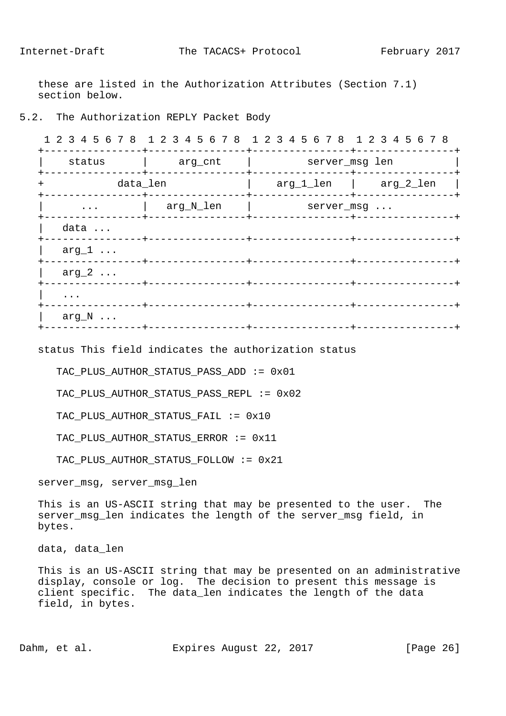these are listed in the Authorization Attributes (Section 7.1) section below.

## 5.2. The Authorization REPLY Packet Body

 1 2 3 4 5 6 7 8 1 2 3 4 5 6 7 8 1 2 3 4 5 6 7 8 1 2 3 4 5 6 7 8 +----------------+----------------+----------------+----------------+ | status | arg\_cnt | server\_msg len | +----------------+----------------+----------------+----------------+ + data\_len | arg\_1\_len | arg\_2\_len | +----------------+----------------+----------------+----------------+ | arg\_N\_len | server\_msg ... +----------------+----------------+----------------+----------------+ data ... +----------------+----------------+----------------+----------------+ | arg\_1 ... +----------------+----------------+----------------+----------------+  $arg_2 \ldots$  +----------------+----------------+----------------+----------------+ | .... +----------------+----------------+----------------+----------------+ arg  $N$  ... +----------------+----------------+----------------+----------------+

status This field indicates the authorization status

TAC PLUS AUTHOR STATUS PASS ADD  $:= 0x01$ 

TAC\_PLUS\_AUTHOR\_STATUS\_PASS\_REPL := 0x02

TAC\_PLUS\_AUTHOR\_STATUS\_FAIL := 0x10

TAC\_PLUS\_AUTHOR\_STATUS\_ERROR := 0x11

TAC\_PLUS\_AUTHOR\_STATUS\_FOLLOW := 0x21

server\_msg, server\_msg\_len

 This is an US-ASCII string that may be presented to the user. The server\_msg\_len indicates the length of the server\_msg field, in bytes.

data, data\_len

 This is an US-ASCII string that may be presented on an administrative display, console or log. The decision to present this message is client specific. The data\_len indicates the length of the data field, in bytes.

Dahm, et al. Expires August 22, 2017 [Page 26]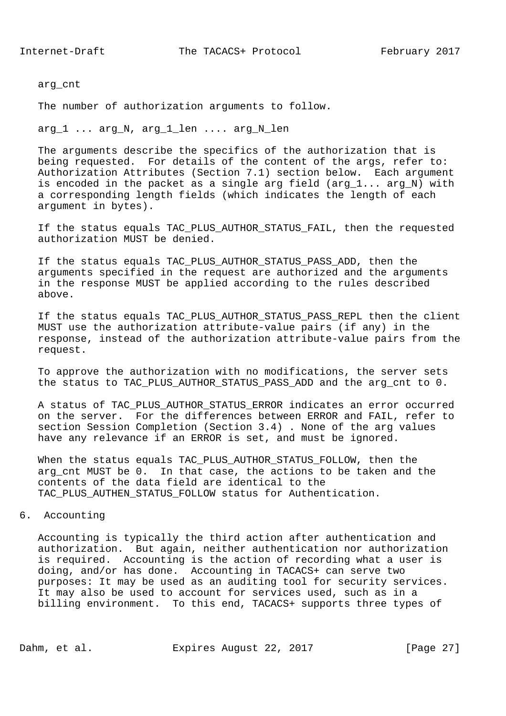arg\_cnt

The number of authorization arguments to follow.

arg\_1 ... arg\_N, arg\_1\_len .... arg\_N\_len

 The arguments describe the specifics of the authorization that is being requested. For details of the content of the args, refer to: Authorization Attributes (Section 7.1) section below. Each argument is encoded in the packet as a single arg field (arg  $1...$  arg N) with a corresponding length fields (which indicates the length of each argument in bytes).

If the status equals TAC PLUS AUTHOR STATUS FAIL, then the requested authorization MUST be denied.

 If the status equals TAC\_PLUS\_AUTHOR\_STATUS\_PASS\_ADD, then the arguments specified in the request are authorized and the arguments in the response MUST be applied according to the rules described above.

 If the status equals TAC\_PLUS\_AUTHOR\_STATUS\_PASS\_REPL then the client MUST use the authorization attribute-value pairs (if any) in the response, instead of the authorization attribute-value pairs from the request.

 To approve the authorization with no modifications, the server sets the status to TAC\_PLUS\_AUTHOR\_STATUS\_PASS\_ADD and the arg\_cnt to 0.

 A status of TAC\_PLUS\_AUTHOR\_STATUS\_ERROR indicates an error occurred on the server. For the differences between ERROR and FAIL, refer to section Session Completion (Section 3.4) . None of the arg values have any relevance if an ERROR is set, and must be ignored.

 When the status equals TAC\_PLUS\_AUTHOR\_STATUS\_FOLLOW, then the arg cnt MUST be 0. In that case, the actions to be taken and the contents of the data field are identical to the TAC\_PLUS\_AUTHEN\_STATUS\_FOLLOW status for Authentication.

## 6. Accounting

 Accounting is typically the third action after authentication and authorization. But again, neither authentication nor authorization is required. Accounting is the action of recording what a user is doing, and/or has done. Accounting in TACACS+ can serve two purposes: It may be used as an auditing tool for security services. It may also be used to account for services used, such as in a billing environment. To this end, TACACS+ supports three types of

Dahm, et al. Expires August 22, 2017 [Page 27]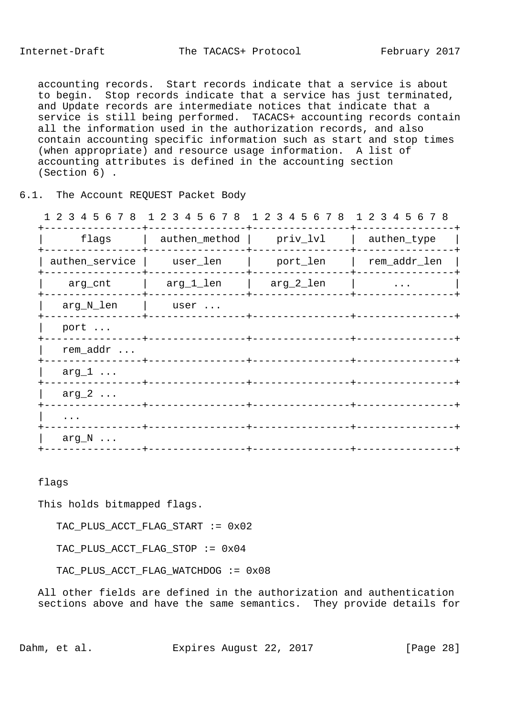accounting records. Start records indicate that a service is about to begin. Stop records indicate that a service has just terminated, and Update records are intermediate notices that indicate that a service is still being performed. TACACS+ accounting records contain all the information used in the authorization records, and also contain accounting specific information such as start and stop times (when appropriate) and resource usage information. A list of accounting attributes is defined in the accounting section (Section 6) .

## 6.1. The Account REQUEST Packet Body

|                |               | 1 2 3 4 5 6 7 8 1 2 3 4 5 6 7 8 1 2 3 4 5 6 7 8 1 2 3 4 5 6 7 8 |              |
|----------------|---------------|-----------------------------------------------------------------|--------------|
| flags          | authen_method | priv_lvl                                                        | authen_type  |
| authen_service | user_len      | port_len                                                        | rem_addr_len |
| arg_cnt        | arg_1_len     | arg_2_len                                                       | $\ddots$     |
| arg_N_len      | user          |                                                                 |              |
| port           |               |                                                                 |              |
| rem_addr       |               |                                                                 |              |
| $arg_1 \ldots$ |               |                                                                 |              |
| $arg_2 \ldots$ |               |                                                                 |              |
| $\cdots$       |               |                                                                 |              |
| $arg_N \ldots$ |               |                                                                 |              |
|                |               |                                                                 |              |

flags

This holds bitmapped flags.

TAC\_PLUS\_ACCT\_FLAG\_START := 0x02

TAC\_PLUS\_ACCT\_FLAG\_STOP := 0x04

TAC\_PLUS\_ACCT\_FLAG\_WATCHDOG := 0x08

 All other fields are defined in the authorization and authentication sections above and have the same semantics. They provide details for

Dahm, et al. Expires August 22, 2017 [Page 28]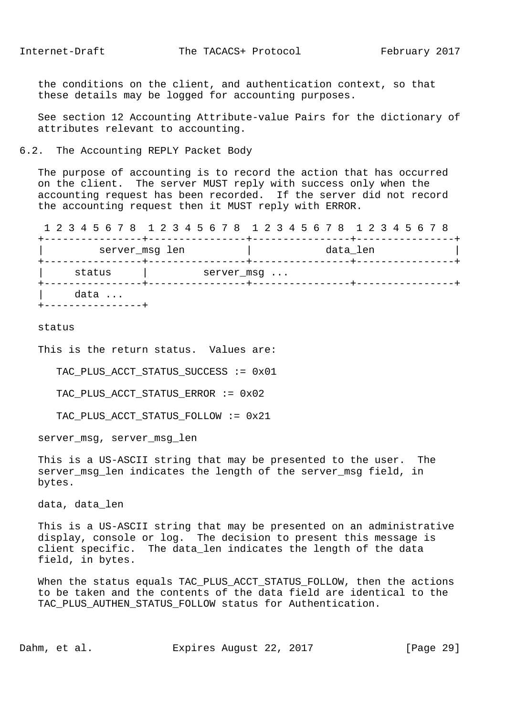the conditions on the client, and authentication context, so that these details may be logged for accounting purposes.

 See section 12 Accounting Attribute-value Pairs for the dictionary of attributes relevant to accounting.

#### 6.2. The Accounting REPLY Packet Body

 The purpose of accounting is to record the action that has occurred on the client. The server MUST reply with success only when the accounting request has been recorded. If the server did not record the accounting request then it MUST reply with ERROR.

 1 2 3 4 5 6 7 8 1 2 3 4 5 6 7 8 1 2 3 4 5 6 7 8 1 2 3 4 5 6 7 8 +----------------+----------------+----------------+----------------+ server\_msg len data\_len data\_len +----------------+----------------+----------------+----------------+ status | server\_msg ... +----------------+----------------+----------------+----------------+ data ... +----------------+

#### status

This is the return status. Values are:

TAC\_PLUS\_ACCT\_STATUS\_SUCCESS := 0x01

TAC\_PLUS\_ACCT\_STATUS\_ERROR := 0x02

TAC\_PLUS\_ACCT\_STATUS\_FOLLOW := 0x21

server\_msg, server\_msg\_len

 This is a US-ASCII string that may be presented to the user. The server\_msg\_len indicates the length of the server\_msg field, in bytes.

data, data\_len

 This is a US-ASCII string that may be presented on an administrative display, console or log. The decision to present this message is client specific. The data\_len indicates the length of the data field, in bytes.

 When the status equals TAC\_PLUS\_ACCT\_STATUS\_FOLLOW, then the actions to be taken and the contents of the data field are identical to the TAC PLUS AUTHEN STATUS FOLLOW status for Authentication.

Dahm, et al. Expires August 22, 2017 [Page 29]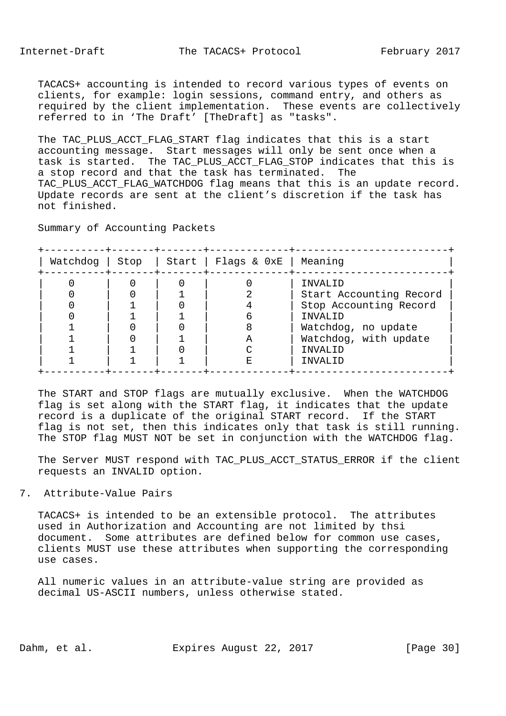TACACS+ accounting is intended to record various types of events on clients, for example: login sessions, command entry, and others as required by the client implementation. These events are collectively referred to in 'The Draft' [TheDraft] as "tasks".

 The TAC\_PLUS\_ACCT\_FLAG\_START flag indicates that this is a start accounting message. Start messages will only be sent once when a task is started. The TAC\_PLUS\_ACCT\_FLAG\_STOP indicates that this is a stop record and that the task has terminated. The TAC PLUS ACCT FLAG WATCHDOG flag means that this is an update record. Update records are sent at the client's discretion if the task has not finished.

Summary of Accounting Packets

| Watchdog | Stop | Start   Flags & OxE   Meaning |                                                                                                                                               |
|----------|------|-------------------------------|-----------------------------------------------------------------------------------------------------------------------------------------------|
|          |      | А                             | INVALID<br>Start Accounting Record<br>Stop Accounting Record<br>INVALID<br>Watchdog, no update<br>Watchdog, with update<br>INVALID<br>INVALID |

 The START and STOP flags are mutually exclusive. When the WATCHDOG flag is set along with the START flag, it indicates that the update record is a duplicate of the original START record. If the START flag is not set, then this indicates only that task is still running. The STOP flag MUST NOT be set in conjunction with the WATCHDOG flag.

 The Server MUST respond with TAC\_PLUS\_ACCT\_STATUS\_ERROR if the client requests an INVALID option.

## 7. Attribute-Value Pairs

 TACACS+ is intended to be an extensible protocol. The attributes used in Authorization and Accounting are not limited by thsi document. Some attributes are defined below for common use cases, clients MUST use these attributes when supporting the corresponding use cases.

 All numeric values in an attribute-value string are provided as decimal US-ASCII numbers, unless otherwise stated.

Dahm, et al. Expires August 22, 2017 [Page 30]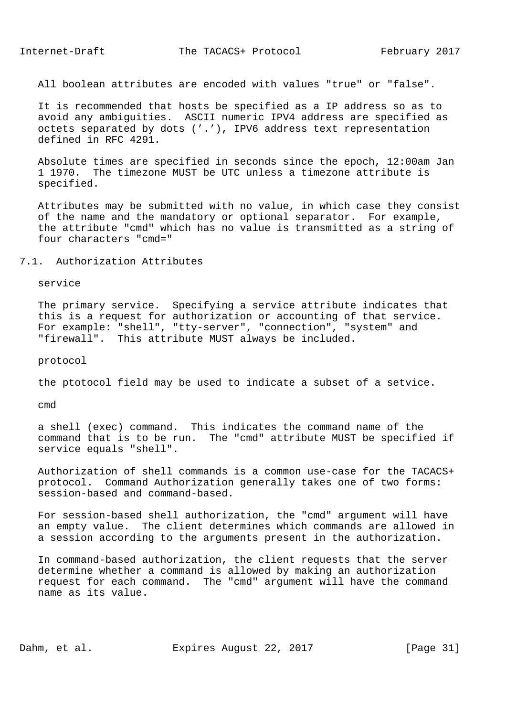All boolean attributes are encoded with values "true" or "false".

 It is recommended that hosts be specified as a IP address so as to avoid any ambiguities. ASCII numeric IPV4 address are specified as octets separated by dots ('.'), IPV6 address text representation defined in RFC 4291.

 Absolute times are specified in seconds since the epoch, 12:00am Jan 1 1970. The timezone MUST be UTC unless a timezone attribute is specified.

 Attributes may be submitted with no value, in which case they consist of the name and the mandatory or optional separator. For example, the attribute "cmd" which has no value is transmitted as a string of four characters "cmd="

## 7.1. Authorization Attributes

service

 The primary service. Specifying a service attribute indicates that this is a request for authorization or accounting of that service. For example: "shell", "tty-server", "connection", "system" and "firewall". This attribute MUST always be included.

protocol

the ptotocol field may be used to indicate a subset of a setvice.

cmd

 a shell (exec) command. This indicates the command name of the command that is to be run. The "cmd" attribute MUST be specified if service equals "shell".

 Authorization of shell commands is a common use-case for the TACACS+ protocol. Command Authorization generally takes one of two forms: session-based and command-based.

 For session-based shell authorization, the "cmd" argument will have an empty value. The client determines which commands are allowed in a session according to the arguments present in the authorization.

 In command-based authorization, the client requests that the server determine whether a command is allowed by making an authorization request for each command. The "cmd" argument will have the command name as its value.

Dahm, et al. Expires August 22, 2017 [Page 31]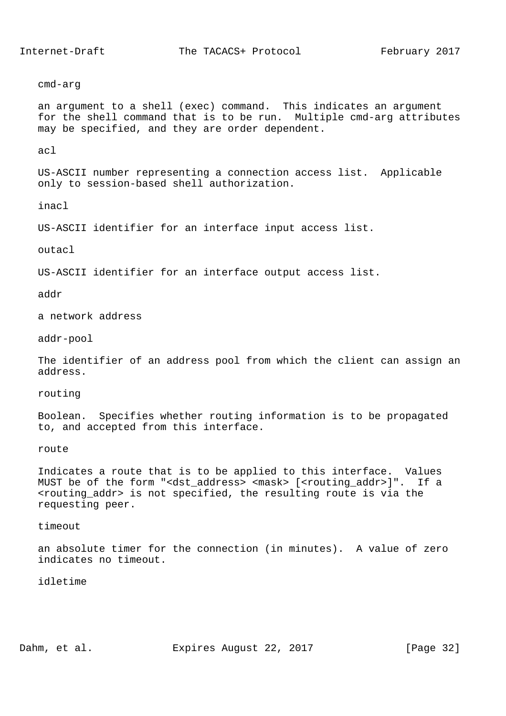cmd-arg

 an argument to a shell (exec) command. This indicates an argument for the shell command that is to be run. Multiple cmd-arg attributes may be specified, and they are order dependent.

acl

 US-ASCII number representing a connection access list. Applicable only to session-based shell authorization.

inacl

US-ASCII identifier for an interface input access list.

outacl

US-ASCII identifier for an interface output access list.

addr

a network address

addr-pool

 The identifier of an address pool from which the client can assign an address.

routing

 Boolean. Specifies whether routing information is to be propagated to, and accepted from this interface.

route

 Indicates a route that is to be applied to this interface. Values MUST be of the form "<dst\_address> <mask> [<routing\_addr>]". If a <routing\_addr> is not specified, the resulting route is via the requesting peer.

timeout

 an absolute timer for the connection (in minutes). A value of zero indicates no timeout.

idletime

Dahm, et al. Expires August 22, 2017 [Page 32]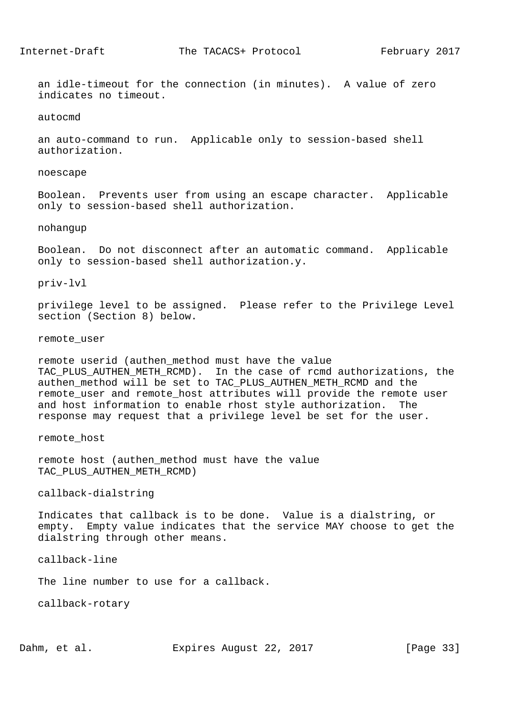an idle-timeout for the connection (in minutes). A value of zero indicates no timeout.

autocmd

 an auto-command to run. Applicable only to session-based shell authorization.

noescape

 Boolean. Prevents user from using an escape character. Applicable only to session-based shell authorization.

nohangup

 Boolean. Do not disconnect after an automatic command. Applicable only to session-based shell authorization.y.

priv-lvl

 privilege level to be assigned. Please refer to the Privilege Level section (Section 8) below.

remote\_user

 remote userid (authen\_method must have the value TAC\_PLUS\_AUTHEN\_METH\_RCMD). In the case of rcmd authorizations, the authen\_method will be set to TAC\_PLUS\_AUTHEN\_METH\_RCMD and the remote\_user and remote\_host attributes will provide the remote user and host information to enable rhost style authorization. The response may request that a privilege level be set for the user.

remote\_host

 remote host (authen\_method must have the value TAC\_PLUS\_AUTHEN\_METH\_RCMD)

callback-dialstring

 Indicates that callback is to be done. Value is a dialstring, or empty. Empty value indicates that the service MAY choose to get the dialstring through other means.

callback-line

The line number to use for a callback.

callback-rotary

Dahm, et al. Expires August 22, 2017 [Page 33]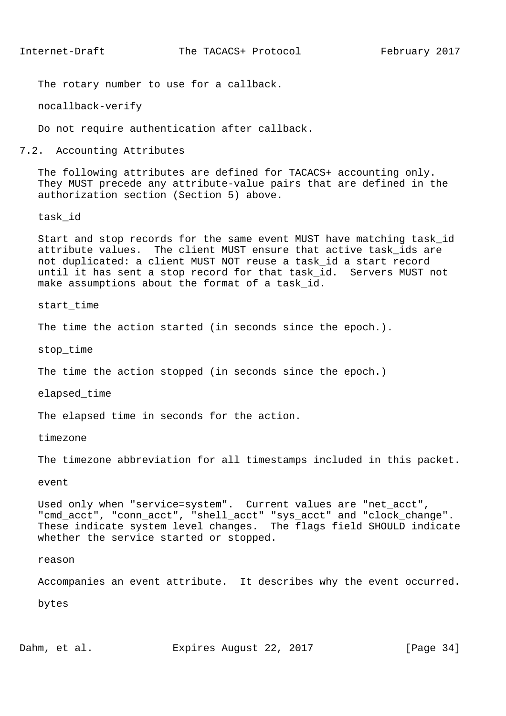The rotary number to use for a callback.

nocallback-verify

Do not require authentication after callback.

7.2. Accounting Attributes

 The following attributes are defined for TACACS+ accounting only. They MUST precede any attribute-value pairs that are defined in the authorization section (Section 5) above.

task\_id

 Start and stop records for the same event MUST have matching task\_id attribute values. The client MUST ensure that active task\_ids are not duplicated: a client MUST NOT reuse a task\_id a start record until it has sent a stop record for that task\_id. Servers MUST not make assumptions about the format of a task id.

start\_time

The time the action started (in seconds since the epoch.).

stop\_time

The time the action stopped (in seconds since the epoch.)

elapsed\_time

The elapsed time in seconds for the action.

timezone

The timezone abbreviation for all timestamps included in this packet.

event

 Used only when "service=system". Current values are "net\_acct", "cmd\_acct", "conn\_acct", "shell\_acct" "sys\_acct" and "clock\_change". These indicate system level changes. The flags field SHOULD indicate whether the service started or stopped.

#### reason

Accompanies an event attribute. It describes why the event occurred.

bytes

Dahm, et al. **Expires August 22, 2017** [Page 34]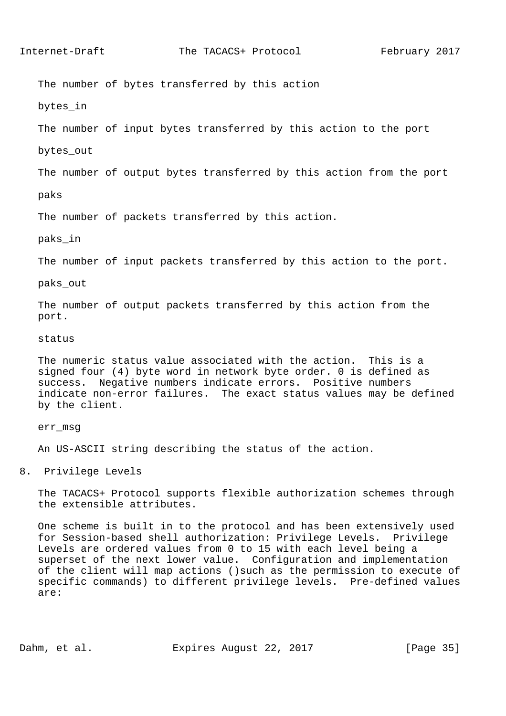The number of bytes transferred by this action

bytes\_in

The number of input bytes transferred by this action to the port

bytes\_out

The number of output bytes transferred by this action from the port

paks

The number of packets transferred by this action.

paks\_in

The number of input packets transferred by this action to the port.

paks\_out

 The number of output packets transferred by this action from the port.

status

 The numeric status value associated with the action. This is a signed four (4) byte word in network byte order. 0 is defined as success. Negative numbers indicate errors. Positive numbers indicate non-error failures. The exact status values may be defined by the client.

err\_msg

An US-ASCII string describing the status of the action.

8. Privilege Levels

 The TACACS+ Protocol supports flexible authorization schemes through the extensible attributes.

 One scheme is built in to the protocol and has been extensively used for Session-based shell authorization: Privilege Levels. Privilege Levels are ordered values from 0 to 15 with each level being a superset of the next lower value. Configuration and implementation of the client will map actions ()such as the permission to execute of specific commands) to different privilege levels. Pre-defined values are:

Dahm, et al. Expires August 22, 2017 [Page 35]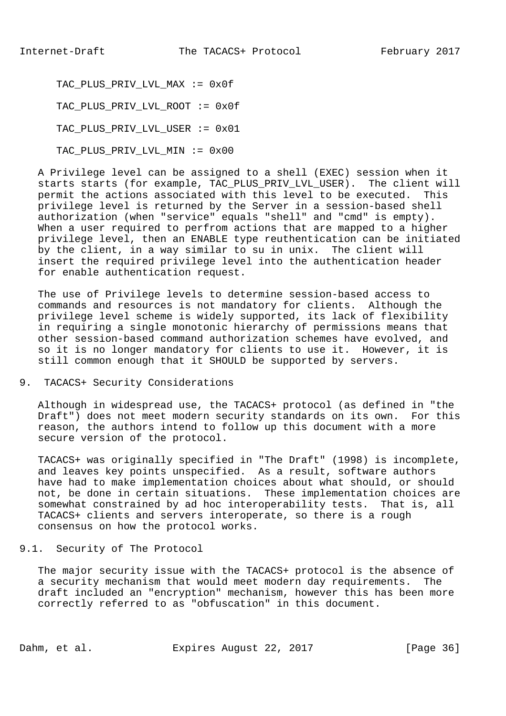TAC\_PLUS\_PRIV\_LVL\_MAX := 0x0f TAC\_PLUS\_PRIV\_LVL\_ROOT := 0x0f TAC PLUS PRIV LVL USER := 0x01 TAC\_PLUS\_PRIV\_LVL\_MIN := 0x00

 A Privilege level can be assigned to a shell (EXEC) session when it starts starts (for example, TAC PLUS PRIV LVL USER). The client will permit the actions associated with this level to be executed. This privilege level is returned by the Server in a session-based shell authorization (when "service" equals "shell" and "cmd" is empty). When a user required to perfrom actions that are mapped to a higher privilege level, then an ENABLE type reuthentication can be initiated by the client, in a way similar to su in unix. The client will insert the required privilege level into the authentication header for enable authentication request.

 The use of Privilege levels to determine session-based access to commands and resources is not mandatory for clients. Although the privilege level scheme is widely supported, its lack of flexibility in requiring a single monotonic hierarchy of permissions means that other session-based command authorization schemes have evolved, and so it is no longer mandatory for clients to use it. However, it is still common enough that it SHOULD be supported by servers.

9. TACACS+ Security Considerations

 Although in widespread use, the TACACS+ protocol (as defined in "the Draft") does not meet modern security standards on its own. For this reason, the authors intend to follow up this document with a more secure version of the protocol.

 TACACS+ was originally specified in "The Draft" (1998) is incomplete, and leaves key points unspecified. As a result, software authors have had to make implementation choices about what should, or should not, be done in certain situations. These implementation choices are somewhat constrained by ad hoc interoperability tests. That is, all TACACS+ clients and servers interoperate, so there is a rough consensus on how the protocol works.

9.1. Security of The Protocol

 The major security issue with the TACACS+ protocol is the absence of a security mechanism that would meet modern day requirements. The draft included an "encryption" mechanism, however this has been more correctly referred to as "obfuscation" in this document.

Dahm, et al. Expires August 22, 2017 [Page 36]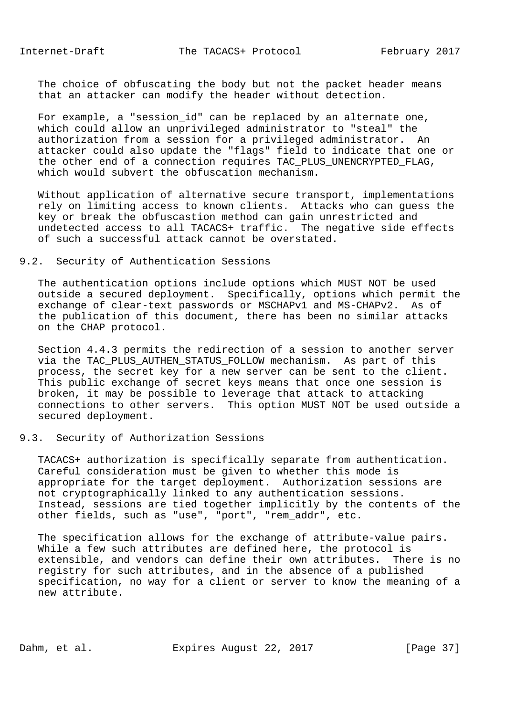The choice of obfuscating the body but not the packet header means that an attacker can modify the header without detection.

For example, a "session id" can be replaced by an alternate one, which could allow an unprivileged administrator to "steal" the authorization from a session for a privileged administrator. An attacker could also update the "flags" field to indicate that one or the other end of a connection requires TAC\_PLUS\_UNENCRYPTED\_FLAG, which would subvert the obfuscation mechanism.

 Without application of alternative secure transport, implementations rely on limiting access to known clients. Attacks who can guess the key or break the obfuscastion method can gain unrestricted and undetected access to all TACACS+ traffic. The negative side effects of such a successful attack cannot be overstated.

# 9.2. Security of Authentication Sessions

 The authentication options include options which MUST NOT be used outside a secured deployment. Specifically, options which permit the exchange of clear-text passwords or MSCHAPv1 and MS-CHAPv2. As of the publication of this document, there has been no similar attacks on the CHAP protocol.

 Section 4.4.3 permits the redirection of a session to another server via the TAC\_PLUS\_AUTHEN\_STATUS\_FOLLOW mechanism. As part of this process, the secret key for a new server can be sent to the client. This public exchange of secret keys means that once one session is broken, it may be possible to leverage that attack to attacking connections to other servers. This option MUST NOT be used outside a secured deployment.

## 9.3. Security of Authorization Sessions

 TACACS+ authorization is specifically separate from authentication. Careful consideration must be given to whether this mode is appropriate for the target deployment. Authorization sessions are not cryptographically linked to any authentication sessions. Instead, sessions are tied together implicitly by the contents of the other fields, such as "use", "port", "rem\_addr", etc.

 The specification allows for the exchange of attribute-value pairs. While a few such attributes are defined here, the protocol is extensible, and vendors can define their own attributes. There is no registry for such attributes, and in the absence of a published specification, no way for a client or server to know the meaning of a new attribute.

Dahm, et al. Expires August 22, 2017 [Page 37]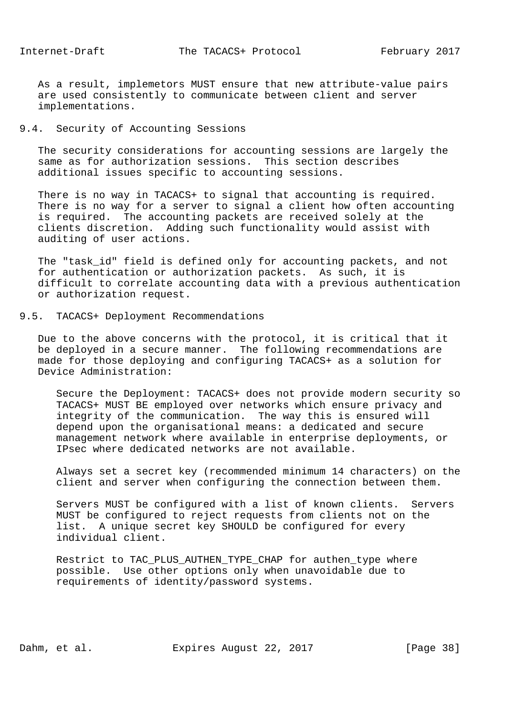As a result, implemetors MUST ensure that new attribute-value pairs are used consistently to communicate between client and server implementations.

# 9.4. Security of Accounting Sessions

 The security considerations for accounting sessions are largely the same as for authorization sessions. This section describes additional issues specific to accounting sessions.

 There is no way in TACACS+ to signal that accounting is required. There is no way for a server to signal a client how often accounting is required. The accounting packets are received solely at the clients discretion. Adding such functionality would assist with auditing of user actions.

 The "task\_id" field is defined only for accounting packets, and not for authentication or authorization packets. As such, it is difficult to correlate accounting data with a previous authentication or authorization request.

## 9.5. TACACS+ Deployment Recommendations

 Due to the above concerns with the protocol, it is critical that it be deployed in a secure manner. The following recommendations are made for those deploying and configuring TACACS+ as a solution for Device Administration:

 Secure the Deployment: TACACS+ does not provide modern security so TACACS+ MUST BE employed over networks which ensure privacy and integrity of the communication. The way this is ensured will depend upon the organisational means: a dedicated and secure management network where available in enterprise deployments, or IPsec where dedicated networks are not available.

 Always set a secret key (recommended minimum 14 characters) on the client and server when configuring the connection between them.

 Servers MUST be configured with a list of known clients. Servers MUST be configured to reject requests from clients not on the list. A unique secret key SHOULD be configured for every individual client.

 Restrict to TAC\_PLUS\_AUTHEN\_TYPE\_CHAP for authen\_type where possible. Use other options only when unavoidable due to requirements of identity/password systems.

Dahm, et al. Expires August 22, 2017 [Page 38]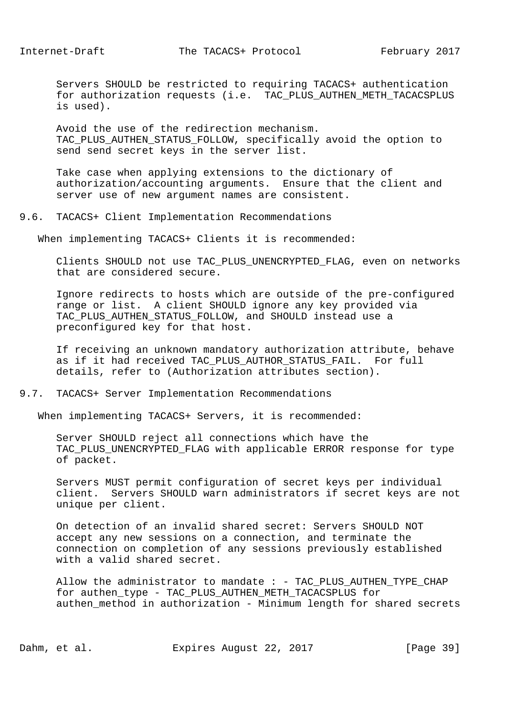Servers SHOULD be restricted to requiring TACACS+ authentication for authorization requests (i.e. TAC\_PLUS\_AUTHEN\_METH\_TACACSPLUS is used).

 Avoid the use of the redirection mechanism. TAC\_PLUS\_AUTHEN\_STATUS\_FOLLOW, specifically avoid the option to send send secret keys in the server list.

 Take case when applying extensions to the dictionary of authorization/accounting arguments. Ensure that the client and server use of new argument names are consistent.

9.6. TACACS+ Client Implementation Recommendations

When implementing TACACS+ Clients it is recommended:

 Clients SHOULD not use TAC\_PLUS\_UNENCRYPTED\_FLAG, even on networks that are considered secure.

 Ignore redirects to hosts which are outside of the pre-configured range or list. A client SHOULD ignore any key provided via TAC PLUS AUTHEN STATUS FOLLOW, and SHOULD instead use a preconfigured key for that host.

 If receiving an unknown mandatory authorization attribute, behave as if it had received TAC\_PLUS\_AUTHOR\_STATUS\_FAIL. For full details, refer to (Authorization attributes section).

9.7. TACACS+ Server Implementation Recommendations

When implementing TACACS+ Servers, it is recommended:

 Server SHOULD reject all connections which have the TAC\_PLUS\_UNENCRYPTED\_FLAG with applicable ERROR response for type of packet.

 Servers MUST permit configuration of secret keys per individual client. Servers SHOULD warn administrators if secret keys are not unique per client.

 On detection of an invalid shared secret: Servers SHOULD NOT accept any new sessions on a connection, and terminate the connection on completion of any sessions previously established with a valid shared secret.

Allow the administrator to mandate : - TAC\_PLUS\_AUTHEN\_TYPE\_CHAP for authen\_type - TAC\_PLUS\_AUTHEN\_METH\_TACACSPLUS for authen method in authorization - Minimum length for shared secrets

Dahm, et al. Expires August 22, 2017 [Page 39]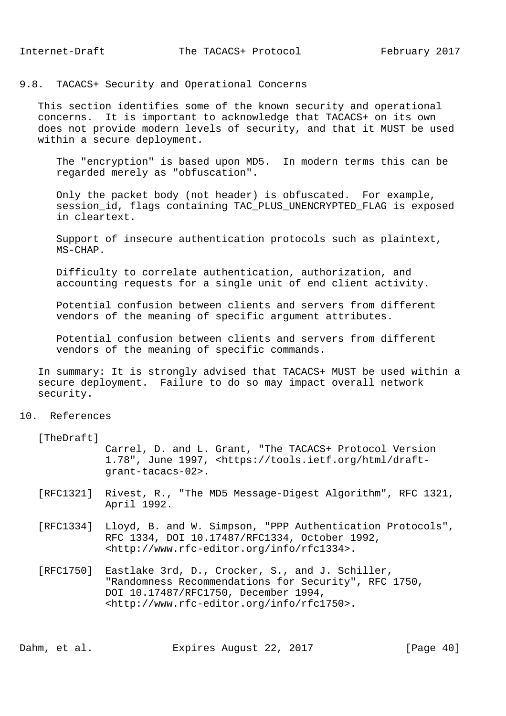## 9.8. TACACS+ Security and Operational Concerns

 This section identifies some of the known security and operational concerns. It is important to acknowledge that TACACS+ on its own does not provide modern levels of security, and that it MUST be used within a secure deployment.

 The "encryption" is based upon MD5. In modern terms this can be regarded merely as "obfuscation".

 Only the packet body (not header) is obfuscated. For example, session\_id, flags containing TAC\_PLUS\_UNENCRYPTED\_FLAG is exposed in cleartext.

 Support of insecure authentication protocols such as plaintext, MS-CHAP.

 Difficulty to correlate authentication, authorization, and accounting requests for a single unit of end client activity.

 Potential confusion between clients and servers from different vendors of the meaning of specific argument attributes.

 Potential confusion between clients and servers from different vendors of the meaning of specific commands.

 In summary: It is strongly advised that TACACS+ MUST be used within a secure deployment. Failure to do so may impact overall network security.

# 10. References

[TheDraft]

 Carrel, D. and L. Grant, "The TACACS+ Protocol Version 1.78", June 1997, <https://tools.ietf.org/html/draft grant-tacacs-02>.

- [RFC1321] Rivest, R., "The MD5 Message-Digest Algorithm", RFC 1321, April 1992.
- [RFC1334] Lloyd, B. and W. Simpson, "PPP Authentication Protocols", RFC 1334, DOI 10.17487/RFC1334, October 1992, <http://www.rfc-editor.org/info/rfc1334>.
- [RFC1750] Eastlake 3rd, D., Crocker, S., and J. Schiller, "Randomness Recommendations for Security", RFC 1750, DOI 10.17487/RFC1750, December 1994, <http://www.rfc-editor.org/info/rfc1750>.

Dahm, et al. Expires August 22, 2017 [Page 40]